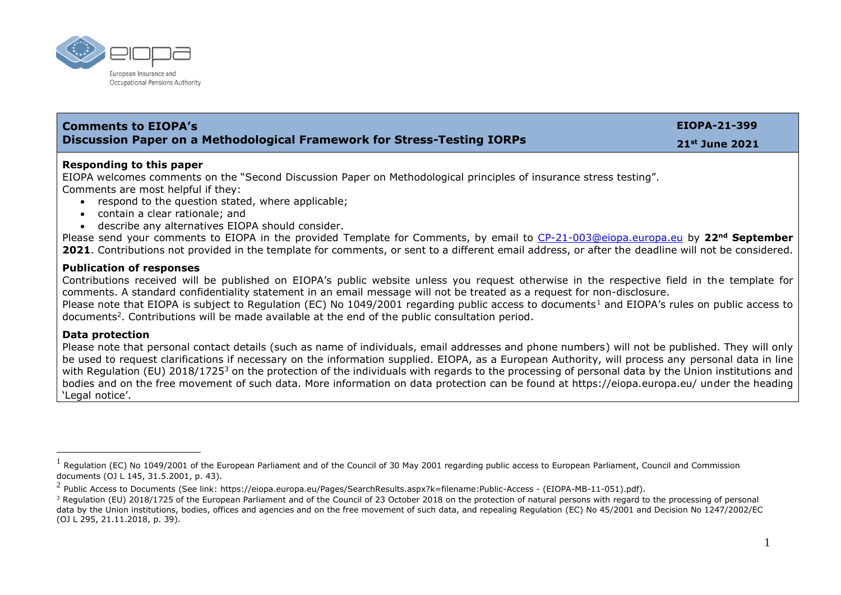

| <b>Comments to EIOPA's</b>                                                                                                                                                                                                                                                                                                                                                                                                                                                                                                                                                                                                                   | EIOPA-21-399   |
|----------------------------------------------------------------------------------------------------------------------------------------------------------------------------------------------------------------------------------------------------------------------------------------------------------------------------------------------------------------------------------------------------------------------------------------------------------------------------------------------------------------------------------------------------------------------------------------------------------------------------------------------|----------------|
| <b>Discussion Paper on a Methodological Framework for Stress-Testing IORPs</b>                                                                                                                                                                                                                                                                                                                                                                                                                                                                                                                                                               | 21st June 2021 |
| Responding to this paper<br>EIOPA welcomes comments on the "Second Discussion Paper on Methodological principles of insurance stress testing".<br>Comments are most helpful if they:<br>• respond to the question stated, where applicable;<br>• contain a clear rationale; and<br>• describe any alternatives EIOPA should consider.<br>Please send your comments to EIOPA in the provided Template for Comments, by email to CP-21-003@eiopa.europa.eu by 22 <sup>nd</sup> September<br>2021. Contributions not provided in the template for comments, or sent to a different email address, or after the deadline will not be considered. |                |
| <b>Publication of responses</b><br>Contributions received will be published on EIOPA's public website unless you request otherwise in the respective field in the template for<br>comments. A standard confidentiality statement in an email message will not be treated as a request for non-disclosure.<br>Please note that EIOPA is subject to Regulation (EC) No 1049/2001 regarding public access to documents <sup>1</sup> and EIOPA's rules on public access to<br>documents <sup>2</sup> . Contributions will be made available at the end of the public consultation period.                                                        |                |
| <b>Data protection</b><br>Please note that personal contact details (such as name of individuals, email addresses and phone numbers) will not be published. They will only                                                                                                                                                                                                                                                                                                                                                                                                                                                                   |                |

onal contact details (such as name of individuals, email addresses and phone numbers) will not be published. They will only be used to request clarifications if necessary on the information supplied. EIOPA, as a European Authority, will process any personal data in line with Requlation (EU) 2018/1725<sup>3</sup> on the protection of the individuals with regards to the processing of personal data by the Union institutions and bodies and on the free movement of such data. More information on data protection can be found at https://eiopa.europa.eu/ under the heading 'Legal notice'.

 $^1$  Regulation (EC) No 1049/2001 of the European Parliament and of the Council of 30 May 2001 regarding public access to European Parliament, Council and Commission documents (OJ L 145, 31.5.2001, p. 43).

 $^2$  Public Access to Documents (See link: https://eiopa.europa.eu/Pages/SearchResults.aspx?k=filename:Public-Access - (EIOPA-MB-11-051).pdf).

<sup>&</sup>lt;sup>3</sup> Regulation (EU) 2018/1725 of the European Parliament and of the Council of 23 October 2018 on the protection of natural persons with regard to the processing of personal data by the Union institutions, bodies, offices and agencies and on the free movement of such data, and repealing Regulation (EC) No 45/2001 and Decision No 1247/2002/EC (OJ L 295, 21.11.2018, p. 39).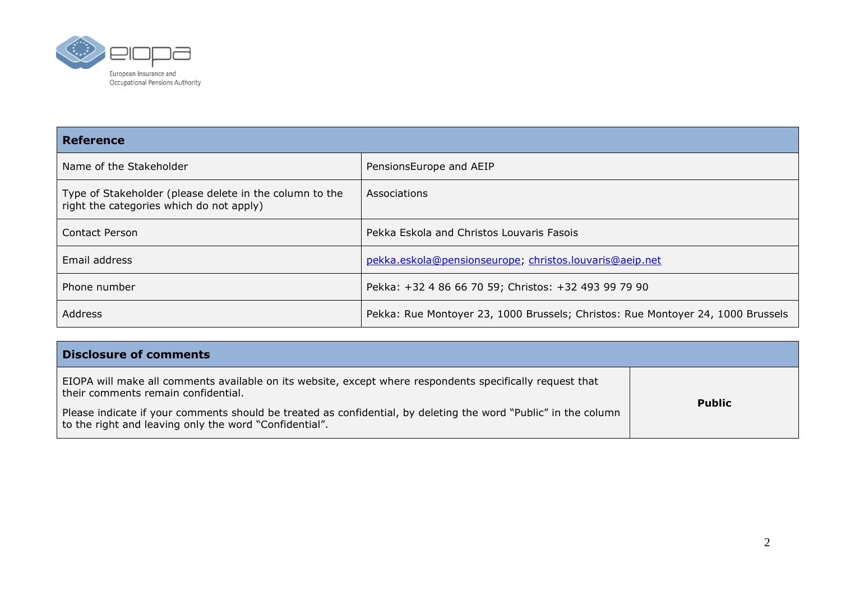

| <b>Reference</b>                                                                                    |                                                                                 |  |
|-----------------------------------------------------------------------------------------------------|---------------------------------------------------------------------------------|--|
| Name of the Stakeholder                                                                             | PensionsEurope and AEIP                                                         |  |
| Type of Stakeholder (please delete in the column to the<br>right the categories which do not apply) | Associations                                                                    |  |
| <b>Contact Person</b>                                                                               | Pekka Eskola and Christos Louvaris Fasois                                       |  |
| Email address                                                                                       | pekka.eskola@pensionseurope; christos.louvaris@aeip.net                         |  |
| Phone number                                                                                        | Pekka: +32 4 86 66 70 59; Christos: +32 493 99 79 90                            |  |
| Address                                                                                             | Pekka: Rue Montoyer 23, 1000 Brussels; Christos: Rue Montoyer 24, 1000 Brussels |  |

| <b>Disclosure of comments</b>                                                                                                                                             |               |
|---------------------------------------------------------------------------------------------------------------------------------------------------------------------------|---------------|
| EIOPA will make all comments available on its website, except where respondents specifically request that<br>their comments remain confidential.                          |               |
| Please indicate if your comments should be treated as confidential, by deleting the word "Public" in the column<br>to the right and leaving only the word "Confidential". | <b>Public</b> |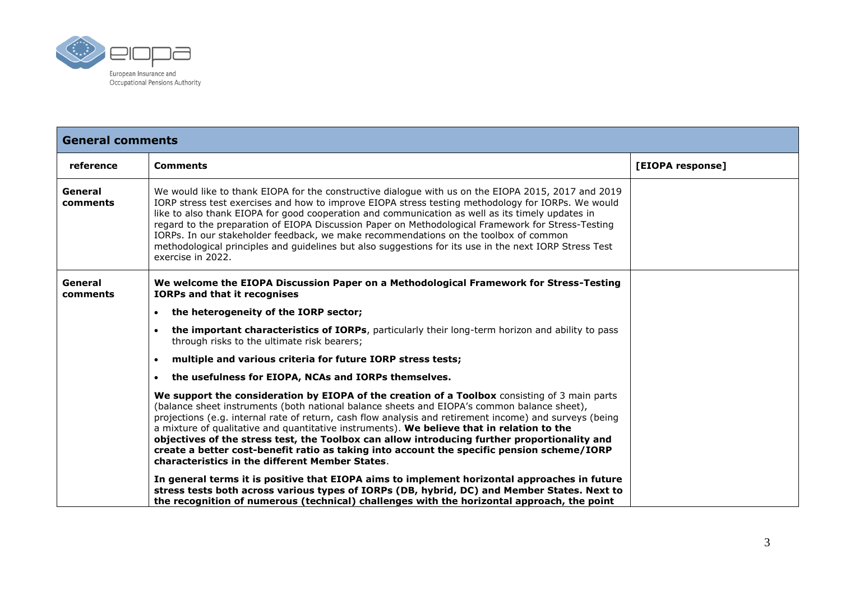

| <b>General comments</b> |                                                                                                                                                                                                                                                                                                                                                                                                                                                                                                                                                                                                                                                        |                  |
|-------------------------|--------------------------------------------------------------------------------------------------------------------------------------------------------------------------------------------------------------------------------------------------------------------------------------------------------------------------------------------------------------------------------------------------------------------------------------------------------------------------------------------------------------------------------------------------------------------------------------------------------------------------------------------------------|------------------|
| reference               | <b>Comments</b>                                                                                                                                                                                                                                                                                                                                                                                                                                                                                                                                                                                                                                        | [EIOPA response] |
| General<br>comments     | We would like to thank EIOPA for the constructive dialogue with us on the EIOPA 2015, 2017 and 2019<br>IORP stress test exercises and how to improve EIOPA stress testing methodology for IORPs. We would<br>like to also thank EIOPA for good cooperation and communication as well as its timely updates in<br>regard to the preparation of EIOPA Discussion Paper on Methodological Framework for Stress-Testing<br>IORPs. In our stakeholder feedback, we make recommendations on the toolbox of common<br>methodological principles and guidelines but also suggestions for its use in the next IORP Stress Test<br>exercise in 2022.             |                  |
| General<br>comments     | We welcome the EIOPA Discussion Paper on a Methodological Framework for Stress-Testing<br><b>IORPs and that it recognises</b>                                                                                                                                                                                                                                                                                                                                                                                                                                                                                                                          |                  |
|                         | the heterogeneity of the IORP sector;<br>$\bullet$                                                                                                                                                                                                                                                                                                                                                                                                                                                                                                                                                                                                     |                  |
|                         | the important characteristics of IORPs, particularly their long-term horizon and ability to pass<br>through risks to the ultimate risk bearers;                                                                                                                                                                                                                                                                                                                                                                                                                                                                                                        |                  |
|                         | multiple and various criteria for future IORP stress tests;                                                                                                                                                                                                                                                                                                                                                                                                                                                                                                                                                                                            |                  |
|                         | the usefulness for EIOPA, NCAs and IORPs themselves.<br>$\bullet$                                                                                                                                                                                                                                                                                                                                                                                                                                                                                                                                                                                      |                  |
|                         | We support the consideration by EIOPA of the creation of a Toolbox consisting of 3 main parts<br>(balance sheet instruments (both national balance sheets and EIOPA's common balance sheet),<br>projections (e.g. internal rate of return, cash flow analysis and retirement income) and surveys (being<br>a mixture of qualitative and quantitative instruments). We believe that in relation to the<br>objectives of the stress test, the Toolbox can allow introducing further proportionality and<br>create a better cost-benefit ratio as taking into account the specific pension scheme/IORP<br>characteristics in the different Member States. |                  |
|                         | In general terms it is positive that EIOPA aims to implement horizontal approaches in future<br>stress tests both across various types of IORPs (DB, hybrid, DC) and Member States. Next to<br>the recognition of numerous (technical) challenges with the horizontal approach, the point                                                                                                                                                                                                                                                                                                                                                              |                  |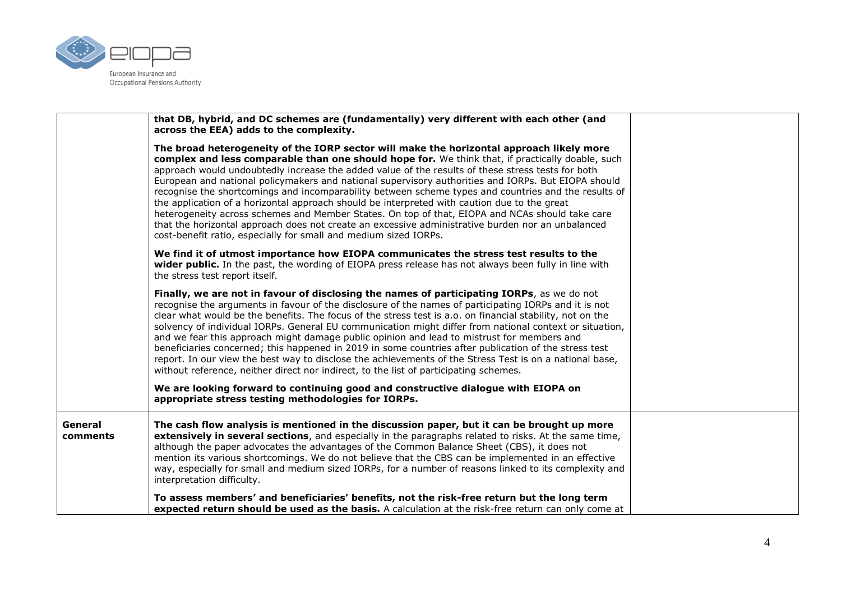

|                     | that DB, hybrid, and DC schemes are (fundamentally) very different with each other (and<br>across the EEA) adds to the complexity.                                                                                                                                                                                                                                                                                                                                                                                                                                                                                                                                                                                                                                                                                                                                                           |  |
|---------------------|----------------------------------------------------------------------------------------------------------------------------------------------------------------------------------------------------------------------------------------------------------------------------------------------------------------------------------------------------------------------------------------------------------------------------------------------------------------------------------------------------------------------------------------------------------------------------------------------------------------------------------------------------------------------------------------------------------------------------------------------------------------------------------------------------------------------------------------------------------------------------------------------|--|
|                     | The broad heterogeneity of the IORP sector will make the horizontal approach likely more<br>complex and less comparable than one should hope for. We think that, if practically doable, such<br>approach would undoubtedly increase the added value of the results of these stress tests for both<br>European and national policymakers and national supervisory authorities and IORPs. But EIOPA should<br>recognise the shortcomings and incomparability between scheme types and countries and the results of<br>the application of a horizontal approach should be interpreted with caution due to the great<br>heterogeneity across schemes and Member States. On top of that, EIOPA and NCAs should take care<br>that the horizontal approach does not create an excessive administrative burden nor an unbalanced<br>cost-benefit ratio, especially for small and medium sized IORPs. |  |
|                     | We find it of utmost importance how EIOPA communicates the stress test results to the<br>wider public. In the past, the wording of EIOPA press release has not always been fully in line with<br>the stress test report itself.                                                                                                                                                                                                                                                                                                                                                                                                                                                                                                                                                                                                                                                              |  |
|                     | Finally, we are not in favour of disclosing the names of participating IORPs, as we do not<br>recognise the arguments in favour of the disclosure of the names of participating IORPs and it is not<br>clear what would be the benefits. The focus of the stress test is a.o. on financial stability, not on the<br>solvency of individual IORPs. General EU communication might differ from national context or situation,<br>and we fear this approach might damage public opinion and lead to mistrust for members and<br>beneficiaries concerned; this happened in 2019 in some countries after publication of the stress test<br>report. In our view the best way to disclose the achievements of the Stress Test is on a national base,<br>without reference, neither direct nor indirect, to the list of participating schemes.                                                       |  |
|                     | We are looking forward to continuing good and constructive dialogue with EIOPA on<br>appropriate stress testing methodologies for IORPs.                                                                                                                                                                                                                                                                                                                                                                                                                                                                                                                                                                                                                                                                                                                                                     |  |
| General<br>comments | The cash flow analysis is mentioned in the discussion paper, but it can be brought up more<br>extensively in several sections, and especially in the paragraphs related to risks. At the same time,<br>although the paper advocates the advantages of the Common Balance Sheet (CBS), it does not<br>mention its various shortcomings. We do not believe that the CBS can be implemented in an effective<br>way, especially for small and medium sized IORPs, for a number of reasons linked to its complexity and<br>interpretation difficulty.                                                                                                                                                                                                                                                                                                                                             |  |
|                     | To assess members' and beneficiaries' benefits, not the risk-free return but the long term<br>expected return should be used as the basis. A calculation at the risk-free return can only come at                                                                                                                                                                                                                                                                                                                                                                                                                                                                                                                                                                                                                                                                                            |  |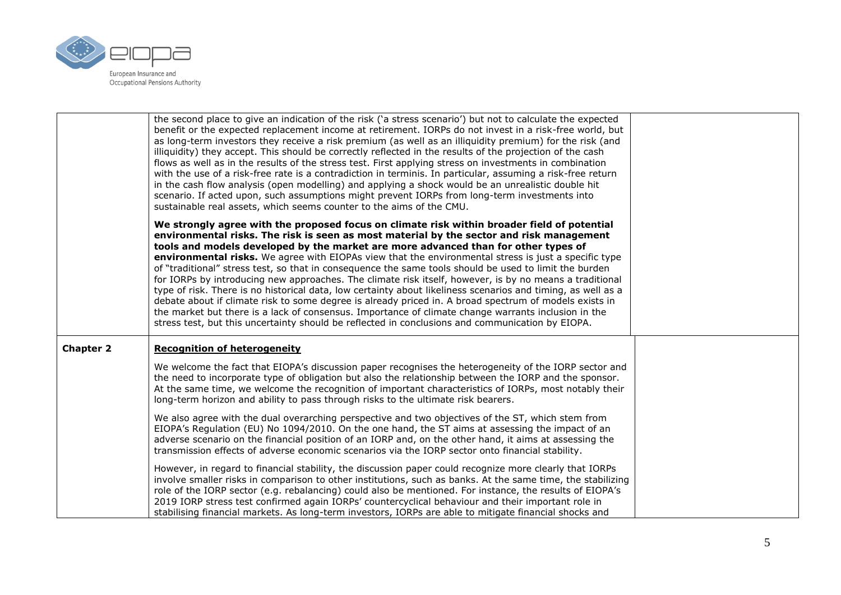

| the second place to give an indication of the risk ('a stress scenario') but not to calculate the expected<br>benefit or the expected replacement income at retirement. IORPs do not invest in a risk-free world, but<br>as long-term investors they receive a risk premium (as well as an illiquidity premium) for the risk (and<br>illiquidity) they accept. This should be correctly reflected in the results of the projection of the cash<br>flows as well as in the results of the stress test. First applying stress on investments in combination<br>with the use of a risk-free rate is a contradiction in terminis. In particular, assuming a risk-free return<br>in the cash flow analysis (open modelling) and applying a shock would be an unrealistic double hit<br>scenario. If acted upon, such assumptions might prevent IORPs from long-term investments into<br>sustainable real assets, which seems counter to the aims of the CMU.                                                                                                                                                                                                                                                                                                                                                                  |                                                                                                        |
|--------------------------------------------------------------------------------------------------------------------------------------------------------------------------------------------------------------------------------------------------------------------------------------------------------------------------------------------------------------------------------------------------------------------------------------------------------------------------------------------------------------------------------------------------------------------------------------------------------------------------------------------------------------------------------------------------------------------------------------------------------------------------------------------------------------------------------------------------------------------------------------------------------------------------------------------------------------------------------------------------------------------------------------------------------------------------------------------------------------------------------------------------------------------------------------------------------------------------------------------------------------------------------------------------------------------------|--------------------------------------------------------------------------------------------------------|
| We strongly agree with the proposed focus on climate risk within broader field of potential<br>environmental risks. The risk is seen as most material by the sector and risk management<br>tools and models developed by the market are more advanced than for other types of<br>environmental risks. We agree with EIOPAs view that the environmental stress is just a specific type<br>of "traditional" stress test, so that in consequence the same tools should be used to limit the burden<br>for IORPs by introducing new approaches. The climate risk itself, however, is by no means a traditional<br>type of risk. There is no historical data, low certainty about likeliness scenarios and timing, as well as a<br>debate about if climate risk to some degree is already priced in. A broad spectrum of models exists in<br>the market but there is a lack of consensus. Importance of climate change warrants inclusion in the<br>stress test, but this uncertainty should be reflected in conclusions and communication by EIOPA.                                                                                                                                                                                                                                                                          |                                                                                                        |
| <b>Recognition of heterogeneity</b><br>We welcome the fact that EIOPA's discussion paper recognises the heterogeneity of the IORP sector and<br>the need to incorporate type of obligation but also the relationship between the IORP and the sponsor.<br>At the same time, we welcome the recognition of important characteristics of IORPs, most notably their<br>long-term horizon and ability to pass through risks to the ultimate risk bearers.<br>We also agree with the dual overarching perspective and two objectives of the ST, which stem from<br>EIOPA's Regulation (EU) No 1094/2010. On the one hand, the ST aims at assessing the impact of an<br>adverse scenario on the financial position of an IORP and, on the other hand, it aims at assessing the<br>transmission effects of adverse economic scenarios via the IORP sector onto financial stability.<br>However, in regard to financial stability, the discussion paper could recognize more clearly that IORPs<br>involve smaller risks in comparison to other institutions, such as banks. At the same time, the stabilizing<br>role of the IORP sector (e.g. rebalancing) could also be mentioned. For instance, the results of EIOPA's<br>2019 IORP stress test confirmed again IORPs' countercyclical behaviour and their important role in |                                                                                                        |
|                                                                                                                                                                                                                                                                                                                                                                                                                                                                                                                                                                                                                                                                                                                                                                                                                                                                                                                                                                                                                                                                                                                                                                                                                                                                                                                          | stabilising financial markets. As long-term investors, IORPs are able to mitigate financial shocks and |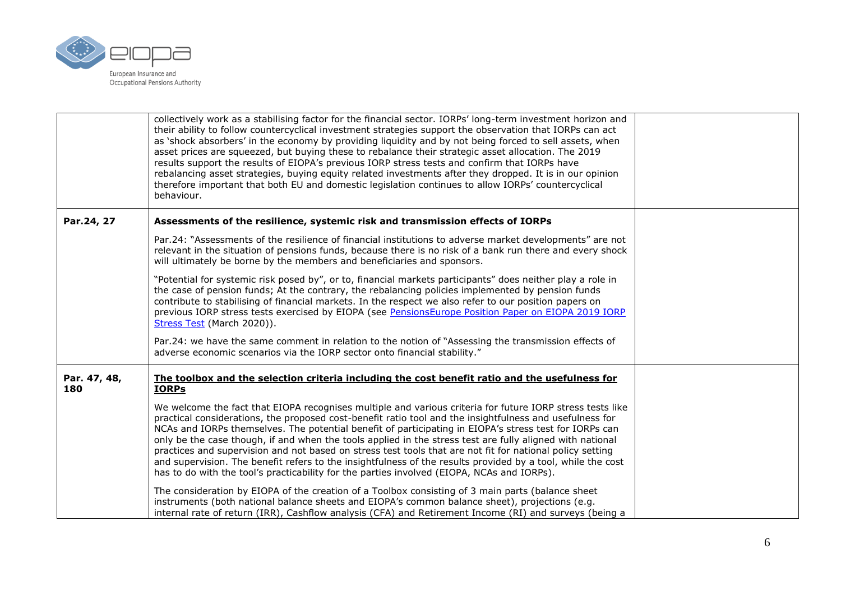

|                     | collectively work as a stabilising factor for the financial sector. IORPs' long-term investment horizon and<br>their ability to follow countercyclical investment strategies support the observation that IORPs can act<br>as 'shock absorbers' in the economy by providing liquidity and by not being forced to sell assets, when<br>asset prices are squeezed, but buying these to rebalance their strategic asset allocation. The 2019<br>results support the results of EIOPA's previous IORP stress tests and confirm that IORPs have<br>rebalancing asset strategies, buying equity related investments after they dropped. It is in our opinion<br>therefore important that both EU and domestic legislation continues to allow IORPs' countercyclical<br>behaviour. |  |
|---------------------|-----------------------------------------------------------------------------------------------------------------------------------------------------------------------------------------------------------------------------------------------------------------------------------------------------------------------------------------------------------------------------------------------------------------------------------------------------------------------------------------------------------------------------------------------------------------------------------------------------------------------------------------------------------------------------------------------------------------------------------------------------------------------------|--|
| Par.24, 27          | Assessments of the resilience, systemic risk and transmission effects of IORPs                                                                                                                                                                                                                                                                                                                                                                                                                                                                                                                                                                                                                                                                                              |  |
|                     | Par.24: "Assessments of the resilience of financial institutions to adverse market developments" are not<br>relevant in the situation of pensions funds, because there is no risk of a bank run there and every shock<br>will ultimately be borne by the members and beneficiaries and sponsors.                                                                                                                                                                                                                                                                                                                                                                                                                                                                            |  |
|                     | "Potential for systemic risk posed by", or to, financial markets participants" does neither play a role in<br>the case of pension funds; At the contrary, the rebalancing policies implemented by pension funds<br>contribute to stabilising of financial markets. In the respect we also refer to our position papers on<br>previous IORP stress tests exercised by EIOPA (see PensionsEurope Position Paper on EIOPA 2019 IORP<br>Stress Test (March 2020)).                                                                                                                                                                                                                                                                                                              |  |
|                     | Par.24: we have the same comment in relation to the notion of "Assessing the transmission effects of<br>adverse economic scenarios via the IORP sector onto financial stability."                                                                                                                                                                                                                                                                                                                                                                                                                                                                                                                                                                                           |  |
| Par. 47, 48,<br>180 | The toolbox and the selection criteria including the cost benefit ratio and the usefulness for<br><b>IORPs</b>                                                                                                                                                                                                                                                                                                                                                                                                                                                                                                                                                                                                                                                              |  |
|                     | We welcome the fact that EIOPA recognises multiple and various criteria for future IORP stress tests like<br>practical considerations, the proposed cost-benefit ratio tool and the insightfulness and usefulness for<br>NCAs and IORPs themselves. The potential benefit of participating in EIOPA's stress test for IORPs can<br>only be the case though, if and when the tools applied in the stress test are fully aligned with national<br>practices and supervision and not based on stress test tools that are not fit for national policy setting<br>and supervision. The benefit refers to the insightfulness of the results provided by a tool, while the cost<br>has to do with the tool's practicability for the parties involved (EIOPA, NCAs and IORPs).      |  |
|                     | The consideration by EIOPA of the creation of a Toolbox consisting of 3 main parts (balance sheet<br>instruments (both national balance sheets and EIOPA's common balance sheet), projections (e.g.<br>internal rate of return (IRR), Cashflow analysis (CFA) and Retirement Income (RI) and surveys (being a                                                                                                                                                                                                                                                                                                                                                                                                                                                               |  |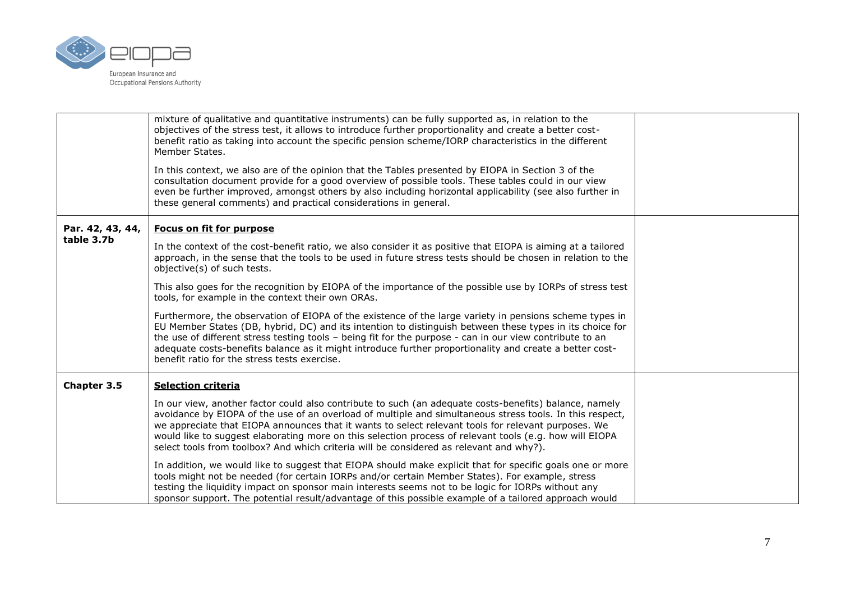

|                  | mixture of qualitative and quantitative instruments) can be fully supported as, in relation to the<br>objectives of the stress test, it allows to introduce further proportionality and create a better cost-<br>benefit ratio as taking into account the specific pension scheme/IORP characteristics in the different<br>Member States.                                                                                                                                                                                       |  |
|------------------|---------------------------------------------------------------------------------------------------------------------------------------------------------------------------------------------------------------------------------------------------------------------------------------------------------------------------------------------------------------------------------------------------------------------------------------------------------------------------------------------------------------------------------|--|
|                  | In this context, we also are of the opinion that the Tables presented by EIOPA in Section 3 of the<br>consultation document provide for a good overview of possible tools. These tables could in our view<br>even be further improved, amongst others by also including horizontal applicability (see also further in<br>these general comments) and practical considerations in general.                                                                                                                                       |  |
| Par. 42, 43, 44, | Focus on fit for purpose                                                                                                                                                                                                                                                                                                                                                                                                                                                                                                        |  |
| table 3.7b       | In the context of the cost-benefit ratio, we also consider it as positive that EIOPA is aiming at a tailored<br>approach, in the sense that the tools to be used in future stress tests should be chosen in relation to the<br>objective(s) of such tests.                                                                                                                                                                                                                                                                      |  |
|                  | This also goes for the recognition by EIOPA of the importance of the possible use by IORPs of stress test<br>tools, for example in the context their own ORAs.                                                                                                                                                                                                                                                                                                                                                                  |  |
|                  | Furthermore, the observation of EIOPA of the existence of the large variety in pensions scheme types in<br>EU Member States (DB, hybrid, DC) and its intention to distinguish between these types in its choice for<br>the use of different stress testing tools - being fit for the purpose - can in our view contribute to an<br>adequate costs-benefits balance as it might introduce further proportionality and create a better cost-<br>benefit ratio for the stress tests exercise.                                      |  |
| Chapter 3.5      | <b>Selection criteria</b>                                                                                                                                                                                                                                                                                                                                                                                                                                                                                                       |  |
|                  | In our view, another factor could also contribute to such (an adequate costs-benefits) balance, namely<br>avoidance by EIOPA of the use of an overload of multiple and simultaneous stress tools. In this respect,<br>we appreciate that EIOPA announces that it wants to select relevant tools for relevant purposes. We<br>would like to suggest elaborating more on this selection process of relevant tools (e.g. how will EIOPA<br>select tools from toolbox? And which criteria will be considered as relevant and why?). |  |
|                  | In addition, we would like to suggest that EIOPA should make explicit that for specific goals one or more<br>tools might not be needed (for certain IORPs and/or certain Member States). For example, stress<br>testing the liquidity impact on sponsor main interests seems not to be logic for IORPs without any<br>sponsor support. The potential result/advantage of this possible example of a tailored approach would                                                                                                     |  |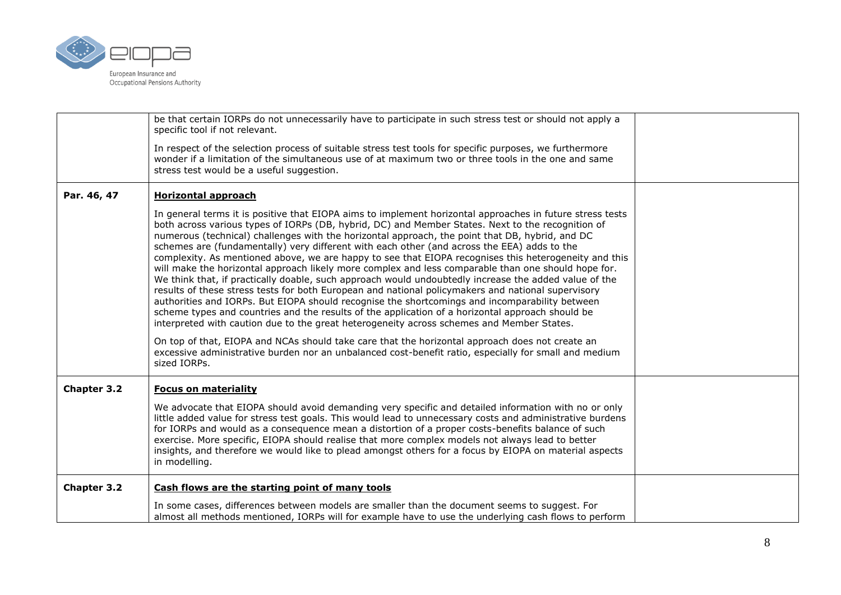

|                    | be that certain IORPs do not unnecessarily have to participate in such stress test or should not apply a<br>specific tool if not relevant.                                                                                                                                                                                                                                                                                                                                                                                                                                                                                                                                                                                                                                                                                                                                                                                                                                                                                                                                                                                                                                                                                                                                                                                                                                     |  |
|--------------------|--------------------------------------------------------------------------------------------------------------------------------------------------------------------------------------------------------------------------------------------------------------------------------------------------------------------------------------------------------------------------------------------------------------------------------------------------------------------------------------------------------------------------------------------------------------------------------------------------------------------------------------------------------------------------------------------------------------------------------------------------------------------------------------------------------------------------------------------------------------------------------------------------------------------------------------------------------------------------------------------------------------------------------------------------------------------------------------------------------------------------------------------------------------------------------------------------------------------------------------------------------------------------------------------------------------------------------------------------------------------------------|--|
|                    | In respect of the selection process of suitable stress test tools for specific purposes, we furthermore<br>wonder if a limitation of the simultaneous use of at maximum two or three tools in the one and same<br>stress test would be a useful suggestion.                                                                                                                                                                                                                                                                                                                                                                                                                                                                                                                                                                                                                                                                                                                                                                                                                                                                                                                                                                                                                                                                                                                    |  |
| Par. 46, 47        | <b>Horizontal approach</b>                                                                                                                                                                                                                                                                                                                                                                                                                                                                                                                                                                                                                                                                                                                                                                                                                                                                                                                                                                                                                                                                                                                                                                                                                                                                                                                                                     |  |
|                    | In general terms it is positive that EIOPA aims to implement horizontal approaches in future stress tests<br>both across various types of IORPs (DB, hybrid, DC) and Member States. Next to the recognition of<br>numerous (technical) challenges with the horizontal approach, the point that DB, hybrid, and DC<br>schemes are (fundamentally) very different with each other (and across the EEA) adds to the<br>complexity. As mentioned above, we are happy to see that EIOPA recognises this heterogeneity and this<br>will make the horizontal approach likely more complex and less comparable than one should hope for.<br>We think that, if practically doable, such approach would undoubtedly increase the added value of the<br>results of these stress tests for both European and national policymakers and national supervisory<br>authorities and IORPs. But EIOPA should recognise the shortcomings and incomparability between<br>scheme types and countries and the results of the application of a horizontal approach should be<br>interpreted with caution due to the great heterogeneity across schemes and Member States.<br>On top of that, EIOPA and NCAs should take care that the horizontal approach does not create an<br>excessive administrative burden nor an unbalanced cost-benefit ratio, especially for small and medium<br>sized IORPs. |  |
| <b>Chapter 3.2</b> | <b>Focus on materiality</b>                                                                                                                                                                                                                                                                                                                                                                                                                                                                                                                                                                                                                                                                                                                                                                                                                                                                                                                                                                                                                                                                                                                                                                                                                                                                                                                                                    |  |
|                    | We advocate that EIOPA should avoid demanding very specific and detailed information with no or only<br>little added value for stress test goals. This would lead to unnecessary costs and administrative burdens<br>for IORPs and would as a consequence mean a distortion of a proper costs-benefits balance of such<br>exercise. More specific, EIOPA should realise that more complex models not always lead to better<br>insights, and therefore we would like to plead amongst others for a focus by EIOPA on material aspects<br>in modelling.                                                                                                                                                                                                                                                                                                                                                                                                                                                                                                                                                                                                                                                                                                                                                                                                                          |  |
| Chapter 3.2        | Cash flows are the starting point of many tools                                                                                                                                                                                                                                                                                                                                                                                                                                                                                                                                                                                                                                                                                                                                                                                                                                                                                                                                                                                                                                                                                                                                                                                                                                                                                                                                |  |
|                    | In some cases, differences between models are smaller than the document seems to suggest. For<br>almost all methods mentioned, IORPs will for example have to use the underlying cash flows to perform                                                                                                                                                                                                                                                                                                                                                                                                                                                                                                                                                                                                                                                                                                                                                                                                                                                                                                                                                                                                                                                                                                                                                                         |  |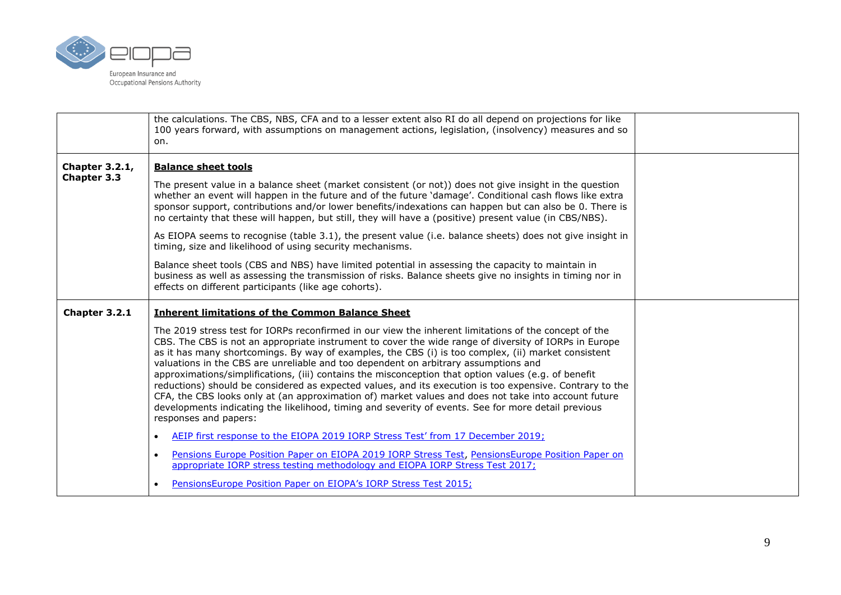

|                                      | the calculations. The CBS, NBS, CFA and to a lesser extent also RI do all depend on projections for like<br>100 years forward, with assumptions on management actions, legislation, (insolvency) measures and so<br>on.                                                                                                                                                                                                                                                                                                                                                                                                                                                                                                                                                                                                                                                  |  |
|--------------------------------------|--------------------------------------------------------------------------------------------------------------------------------------------------------------------------------------------------------------------------------------------------------------------------------------------------------------------------------------------------------------------------------------------------------------------------------------------------------------------------------------------------------------------------------------------------------------------------------------------------------------------------------------------------------------------------------------------------------------------------------------------------------------------------------------------------------------------------------------------------------------------------|--|
| <b>Chapter 3.2.1,</b><br>Chapter 3.3 | <b>Balance sheet tools</b>                                                                                                                                                                                                                                                                                                                                                                                                                                                                                                                                                                                                                                                                                                                                                                                                                                               |  |
|                                      | The present value in a balance sheet (market consistent (or not)) does not give insight in the question<br>whether an event will happen in the future and of the future 'damage'. Conditional cash flows like extra<br>sponsor support, contributions and/or lower benefits/indexations can happen but can also be 0. There is<br>no certainty that these will happen, but still, they will have a (positive) present value (in CBS/NBS).                                                                                                                                                                                                                                                                                                                                                                                                                                |  |
|                                      | As EIOPA seems to recognise (table 3.1), the present value (i.e. balance sheets) does not give insight in<br>timing, size and likelihood of using security mechanisms.                                                                                                                                                                                                                                                                                                                                                                                                                                                                                                                                                                                                                                                                                                   |  |
|                                      | Balance sheet tools (CBS and NBS) have limited potential in assessing the capacity to maintain in<br>business as well as assessing the transmission of risks. Balance sheets give no insights in timing nor in<br>effects on different participants (like age cohorts).                                                                                                                                                                                                                                                                                                                                                                                                                                                                                                                                                                                                  |  |
|                                      |                                                                                                                                                                                                                                                                                                                                                                                                                                                                                                                                                                                                                                                                                                                                                                                                                                                                          |  |
| Chapter 3.2.1                        | <b>Inherent limitations of the Common Balance Sheet</b>                                                                                                                                                                                                                                                                                                                                                                                                                                                                                                                                                                                                                                                                                                                                                                                                                  |  |
|                                      | The 2019 stress test for IORPs reconfirmed in our view the inherent limitations of the concept of the<br>CBS. The CBS is not an appropriate instrument to cover the wide range of diversity of IORPs in Europe<br>as it has many shortcomings. By way of examples, the CBS (i) is too complex, (ii) market consistent<br>valuations in the CBS are unreliable and too dependent on arbitrary assumptions and<br>approximations/simplifications, (iii) contains the misconception that option values (e.g. of benefit<br>reductions) should be considered as expected values, and its execution is too expensive. Contrary to the<br>CFA, the CBS looks only at (an approximation of) market values and does not take into account future<br>developments indicating the likelihood, timing and severity of events. See for more detail previous<br>responses and papers: |  |
|                                      | AEIP first response to the EIOPA 2019 IORP Stress Test' from 17 December 2019;<br>$\bullet$                                                                                                                                                                                                                                                                                                                                                                                                                                                                                                                                                                                                                                                                                                                                                                              |  |
|                                      | Pensions Europe Position Paper on EIOPA 2019 IORP Stress Test, PensionsEurope Position Paper on<br>$\bullet$<br>appropriate IORP stress testing methodology and EIOPA IORP Stress Test 2017;                                                                                                                                                                                                                                                                                                                                                                                                                                                                                                                                                                                                                                                                             |  |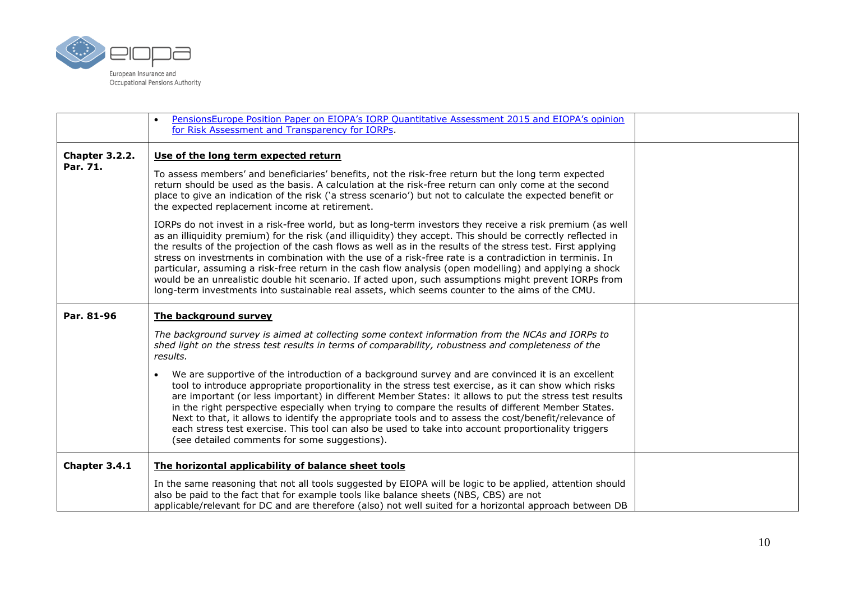

|                            | PensionsEurope Position Paper on EIOPA's IORP Quantitative Assessment 2015 and EIOPA's opinion<br>$\bullet$<br>for Risk Assessment and Transparency for IORPs.                                                                                                                                                                                                                                                                                                                                                                                                                                                                                                                                                                                                               |  |
|----------------------------|------------------------------------------------------------------------------------------------------------------------------------------------------------------------------------------------------------------------------------------------------------------------------------------------------------------------------------------------------------------------------------------------------------------------------------------------------------------------------------------------------------------------------------------------------------------------------------------------------------------------------------------------------------------------------------------------------------------------------------------------------------------------------|--|
| Chapter 3.2.2.<br>Par. 71. | Use of the long term expected return                                                                                                                                                                                                                                                                                                                                                                                                                                                                                                                                                                                                                                                                                                                                         |  |
|                            | To assess members' and beneficiaries' benefits, not the risk-free return but the long term expected<br>return should be used as the basis. A calculation at the risk-free return can only come at the second<br>place to give an indication of the risk ('a stress scenario') but not to calculate the expected benefit or<br>the expected replacement income at retirement.                                                                                                                                                                                                                                                                                                                                                                                                 |  |
|                            | IORPs do not invest in a risk-free world, but as long-term investors they receive a risk premium (as well<br>as an illiquidity premium) for the risk (and illiquidity) they accept. This should be correctly reflected in<br>the results of the projection of the cash flows as well as in the results of the stress test. First applying<br>stress on investments in combination with the use of a risk-free rate is a contradiction in terminis. In<br>particular, assuming a risk-free return in the cash flow analysis (open modelling) and applying a shock<br>would be an unrealistic double hit scenario. If acted upon, such assumptions might prevent IORPs from<br>long-term investments into sustainable real assets, which seems counter to the aims of the CMU. |  |
| Par. 81-96                 | The background survey                                                                                                                                                                                                                                                                                                                                                                                                                                                                                                                                                                                                                                                                                                                                                        |  |
|                            | The background survey is aimed at collecting some context information from the NCAs and IORPs to<br>shed light on the stress test results in terms of comparability, robustness and completeness of the<br>results.                                                                                                                                                                                                                                                                                                                                                                                                                                                                                                                                                          |  |
|                            | We are supportive of the introduction of a background survey and are convinced it is an excellent<br>$\bullet$<br>tool to introduce appropriate proportionality in the stress test exercise, as it can show which risks<br>are important (or less important) in different Member States: it allows to put the stress test results<br>in the right perspective especially when trying to compare the results of different Member States.<br>Next to that, it allows to identify the appropriate tools and to assess the cost/benefit/relevance of<br>each stress test exercise. This tool can also be used to take into account proportionality triggers<br>(see detailed comments for some suggestions).                                                                     |  |
| Chapter 3.4.1              | The horizontal applicability of balance sheet tools                                                                                                                                                                                                                                                                                                                                                                                                                                                                                                                                                                                                                                                                                                                          |  |
|                            | In the same reasoning that not all tools suggested by EIOPA will be logic to be applied, attention should<br>also be paid to the fact that for example tools like balance sheets (NBS, CBS) are not<br>applicable/relevant for DC and are therefore (also) not well suited for a horizontal approach between DB                                                                                                                                                                                                                                                                                                                                                                                                                                                              |  |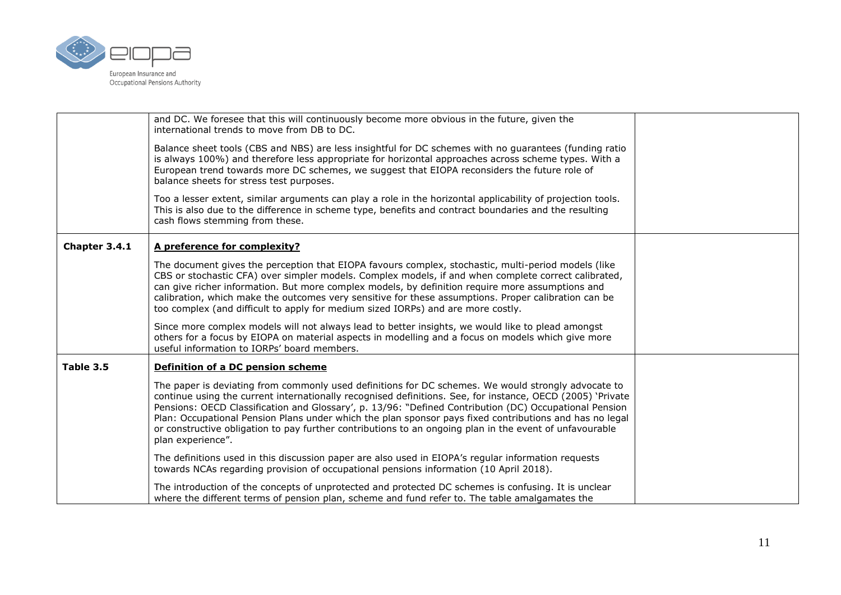

|               | and DC. We foresee that this will continuously become more obvious in the future, given the<br>international trends to move from DB to DC.                                                                                                                                                                                                                                                                                                                                                                                                                             |  |
|---------------|------------------------------------------------------------------------------------------------------------------------------------------------------------------------------------------------------------------------------------------------------------------------------------------------------------------------------------------------------------------------------------------------------------------------------------------------------------------------------------------------------------------------------------------------------------------------|--|
|               | Balance sheet tools (CBS and NBS) are less insightful for DC schemes with no guarantees (funding ratio<br>is always 100%) and therefore less appropriate for horizontal approaches across scheme types. With a<br>European trend towards more DC schemes, we suggest that EIOPA reconsiders the future role of<br>balance sheets for stress test purposes.                                                                                                                                                                                                             |  |
|               | Too a lesser extent, similar arguments can play a role in the horizontal applicability of projection tools.<br>This is also due to the difference in scheme type, benefits and contract boundaries and the resulting<br>cash flows stemming from these.                                                                                                                                                                                                                                                                                                                |  |
| Chapter 3.4.1 | A preference for complexity?                                                                                                                                                                                                                                                                                                                                                                                                                                                                                                                                           |  |
|               | The document gives the perception that EIOPA favours complex, stochastic, multi-period models (like<br>CBS or stochastic CFA) over simpler models. Complex models, if and when complete correct calibrated,<br>can give richer information. But more complex models, by definition require more assumptions and<br>calibration, which make the outcomes very sensitive for these assumptions. Proper calibration can be<br>too complex (and difficult to apply for medium sized IORPs) and are more costly.                                                            |  |
|               | Since more complex models will not always lead to better insights, we would like to plead amongst<br>others for a focus by EIOPA on material aspects in modelling and a focus on models which give more<br>useful information to IORPs' board members.                                                                                                                                                                                                                                                                                                                 |  |
| Table 3.5     | Definition of a DC pension scheme                                                                                                                                                                                                                                                                                                                                                                                                                                                                                                                                      |  |
|               | The paper is deviating from commonly used definitions for DC schemes. We would strongly advocate to<br>continue using the current internationally recognised definitions. See, for instance, OECD (2005) 'Private<br>Pensions: OECD Classification and Glossary', p. 13/96: "Defined Contribution (DC) Occupational Pension<br>Plan: Occupational Pension Plans under which the plan sponsor pays fixed contributions and has no legal<br>or constructive obligation to pay further contributions to an ongoing plan in the event of unfavourable<br>plan experience". |  |
|               | The definitions used in this discussion paper are also used in EIOPA's regular information requests<br>towards NCAs regarding provision of occupational pensions information (10 April 2018).                                                                                                                                                                                                                                                                                                                                                                          |  |
|               | The introduction of the concepts of unprotected and protected DC schemes is confusing. It is unclear<br>where the different terms of pension plan, scheme and fund refer to. The table amalgamates the                                                                                                                                                                                                                                                                                                                                                                 |  |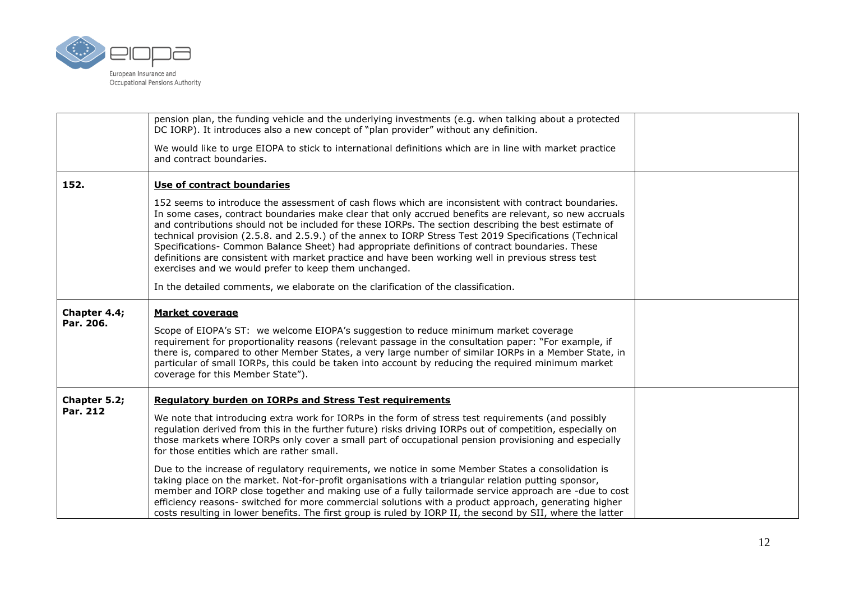

|                           | pension plan, the funding vehicle and the underlying investments (e.g. when talking about a protected<br>DC IORP). It introduces also a new concept of "plan provider" without any definition.                                                                                                                                                                                                                                                                                                                                                                                                                                                                                                       |  |
|---------------------------|------------------------------------------------------------------------------------------------------------------------------------------------------------------------------------------------------------------------------------------------------------------------------------------------------------------------------------------------------------------------------------------------------------------------------------------------------------------------------------------------------------------------------------------------------------------------------------------------------------------------------------------------------------------------------------------------------|--|
|                           | We would like to urge EIOPA to stick to international definitions which are in line with market practice<br>and contract boundaries.                                                                                                                                                                                                                                                                                                                                                                                                                                                                                                                                                                 |  |
| 152.                      | Use of contract boundaries                                                                                                                                                                                                                                                                                                                                                                                                                                                                                                                                                                                                                                                                           |  |
|                           | 152 seems to introduce the assessment of cash flows which are inconsistent with contract boundaries.<br>In some cases, contract boundaries make clear that only accrued benefits are relevant, so new accruals<br>and contributions should not be included for these IORPs. The section describing the best estimate of<br>technical provision (2.5.8. and 2.5.9.) of the annex to IORP Stress Test 2019 Specifications (Technical<br>Specifications- Common Balance Sheet) had appropriate definitions of contract boundaries. These<br>definitions are consistent with market practice and have been working well in previous stress test<br>exercises and we would prefer to keep them unchanged. |  |
|                           | In the detailed comments, we elaborate on the clarification of the classification.                                                                                                                                                                                                                                                                                                                                                                                                                                                                                                                                                                                                                   |  |
| Chapter 4.4;<br>Par. 206. | <b>Market coverage</b><br>Scope of EIOPA's ST: we welcome EIOPA's suggestion to reduce minimum market coverage<br>requirement for proportionality reasons (relevant passage in the consultation paper: "For example, if<br>there is, compared to other Member States, a very large number of similar IORPs in a Member State, in<br>particular of small IORPs, this could be taken into account by reducing the required minimum market<br>coverage for this Member State").                                                                                                                                                                                                                         |  |
| Chapter 5.2;<br>Par. 212  | <b>Regulatory burden on IORPs and Stress Test requirements</b><br>We note that introducing extra work for IORPs in the form of stress test requirements (and possibly<br>regulation derived from this in the further future) risks driving IORPs out of competition, especially on<br>those markets where IORPs only cover a small part of occupational pension provisioning and especially<br>for those entities which are rather small.                                                                                                                                                                                                                                                            |  |
|                           | Due to the increase of regulatory requirements, we notice in some Member States a consolidation is<br>taking place on the market. Not-for-profit organisations with a triangular relation putting sponsor,<br>member and IORP close together and making use of a fully tailormade service approach are -due to cost<br>efficiency reasons- switched for more commercial solutions with a product approach, generating higher<br>costs resulting in lower benefits. The first group is ruled by IORP II, the second by SII, where the latter                                                                                                                                                          |  |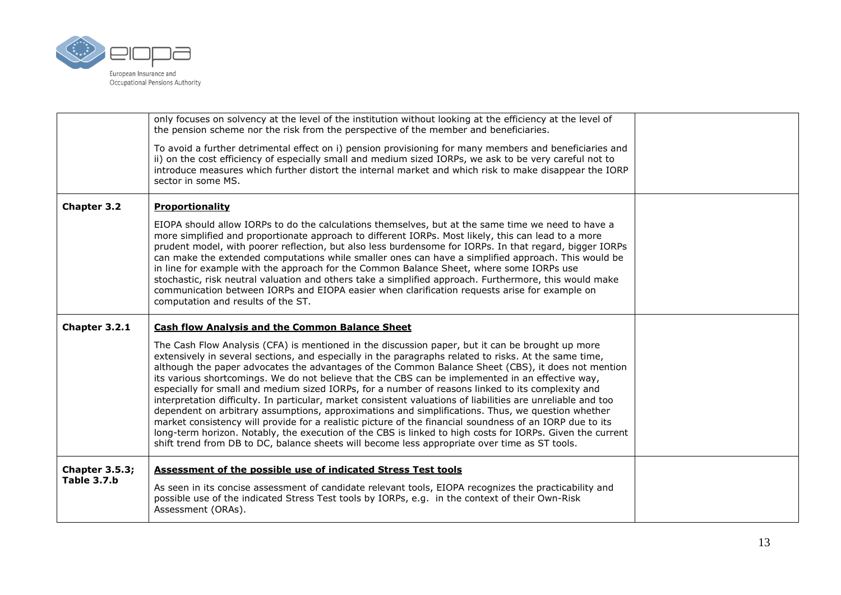

|                                      | only focuses on solvency at the level of the institution without looking at the efficiency at the level of<br>the pension scheme nor the risk from the perspective of the member and beneficiaries.<br>To avoid a further detrimental effect on i) pension provisioning for many members and beneficiaries and<br>ii) on the cost efficiency of especially small and medium sized IORPs, we ask to be very careful not to<br>introduce measures which further distort the internal market and which risk to make disappear the IORP<br>sector in some MS.                                                                                                                                                                                                                                                                                                                                                                                                                                                                                                                                                                         |  |
|--------------------------------------|-----------------------------------------------------------------------------------------------------------------------------------------------------------------------------------------------------------------------------------------------------------------------------------------------------------------------------------------------------------------------------------------------------------------------------------------------------------------------------------------------------------------------------------------------------------------------------------------------------------------------------------------------------------------------------------------------------------------------------------------------------------------------------------------------------------------------------------------------------------------------------------------------------------------------------------------------------------------------------------------------------------------------------------------------------------------------------------------------------------------------------------|--|
| Chapter 3.2                          | Proportionality<br>EIOPA should allow IORPs to do the calculations themselves, but at the same time we need to have a<br>more simplified and proportionate approach to different IORPs. Most likely, this can lead to a more<br>prudent model, with poorer reflection, but also less burdensome for IORPs. In that regard, bigger IORPs<br>can make the extended computations while smaller ones can have a simplified approach. This would be<br>in line for example with the approach for the Common Balance Sheet, where some IORPs use<br>stochastic, risk neutral valuation and others take a simplified approach. Furthermore, this would make<br>communication between IORPs and EIOPA easier when clarification requests arise for example on<br>computation and results of the ST.                                                                                                                                                                                                                                                                                                                                       |  |
| Chapter 3.2.1                        | <b>Cash flow Analysis and the Common Balance Sheet</b><br>The Cash Flow Analysis (CFA) is mentioned in the discussion paper, but it can be brought up more<br>extensively in several sections, and especially in the paragraphs related to risks. At the same time,<br>although the paper advocates the advantages of the Common Balance Sheet (CBS), it does not mention<br>its various shortcomings. We do not believe that the CBS can be implemented in an effective way,<br>especially for small and medium sized IORPs, for a number of reasons linked to its complexity and<br>interpretation difficulty. In particular, market consistent valuations of liabilities are unreliable and too<br>dependent on arbitrary assumptions, approximations and simplifications. Thus, we question whether<br>market consistency will provide for a realistic picture of the financial soundness of an IORP due to its<br>long-term horizon. Notably, the execution of the CBS is linked to high costs for IORPs. Given the current<br>shift trend from DB to DC, balance sheets will become less appropriate over time as ST tools. |  |
| <b>Chapter 3.5.3;</b><br>Table 3.7.b | Assessment of the possible use of indicated Stress Test tools<br>As seen in its concise assessment of candidate relevant tools, EIOPA recognizes the practicability and<br>possible use of the indicated Stress Test tools by IORPs, e.g. in the context of their Own-Risk<br>Assessment (ORAs).                                                                                                                                                                                                                                                                                                                                                                                                                                                                                                                                                                                                                                                                                                                                                                                                                                  |  |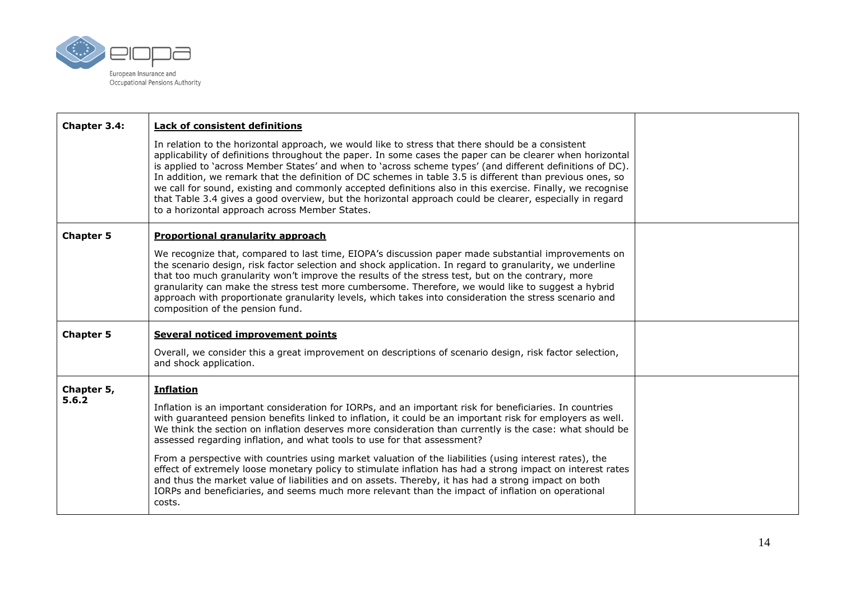

| Chapter 3.4:     | <b>Lack of consistent definitions</b>                                                                                                                                                                                                                                                                                                                                                                                                                                                                                                                                                                                                                                                                                |  |
|------------------|----------------------------------------------------------------------------------------------------------------------------------------------------------------------------------------------------------------------------------------------------------------------------------------------------------------------------------------------------------------------------------------------------------------------------------------------------------------------------------------------------------------------------------------------------------------------------------------------------------------------------------------------------------------------------------------------------------------------|--|
|                  | In relation to the horizontal approach, we would like to stress that there should be a consistent<br>applicability of definitions throughout the paper. In some cases the paper can be clearer when horizontal<br>is applied to 'across Member States' and when to 'across scheme types' (and different definitions of DC).<br>In addition, we remark that the definition of DC schemes in table 3.5 is different than previous ones, so<br>we call for sound, existing and commonly accepted definitions also in this exercise. Finally, we recognise<br>that Table 3.4 gives a good overview, but the horizontal approach could be clearer, especially in regard<br>to a horizontal approach across Member States. |  |
| <b>Chapter 5</b> | <b>Proportional granularity approach</b>                                                                                                                                                                                                                                                                                                                                                                                                                                                                                                                                                                                                                                                                             |  |
|                  | We recognize that, compared to last time, EIOPA's discussion paper made substantial improvements on<br>the scenario design, risk factor selection and shock application. In regard to granularity, we underline<br>that too much granularity won't improve the results of the stress test, but on the contrary, more<br>granularity can make the stress test more cumbersome. Therefore, we would like to suggest a hybrid<br>approach with proportionate granularity levels, which takes into consideration the stress scenario and<br>composition of the pension fund.                                                                                                                                             |  |
| <b>Chapter 5</b> | Several noticed improvement points                                                                                                                                                                                                                                                                                                                                                                                                                                                                                                                                                                                                                                                                                   |  |
|                  | Overall, we consider this a great improvement on descriptions of scenario design, risk factor selection,<br>and shock application.                                                                                                                                                                                                                                                                                                                                                                                                                                                                                                                                                                                   |  |
| Chapter 5,       | <b>Inflation</b>                                                                                                                                                                                                                                                                                                                                                                                                                                                                                                                                                                                                                                                                                                     |  |
| 5.6.2            | Inflation is an important consideration for IORPs, and an important risk for beneficiaries. In countries<br>with guaranteed pension benefits linked to inflation, it could be an important risk for employers as well.<br>We think the section on inflation deserves more consideration than currently is the case: what should be<br>assessed regarding inflation, and what tools to use for that assessment?                                                                                                                                                                                                                                                                                                       |  |
|                  | From a perspective with countries using market valuation of the liabilities (using interest rates), the<br>effect of extremely loose monetary policy to stimulate inflation has had a strong impact on interest rates<br>and thus the market value of liabilities and on assets. Thereby, it has had a strong impact on both<br>IORPs and beneficiaries, and seems much more relevant than the impact of inflation on operational<br>costs.                                                                                                                                                                                                                                                                          |  |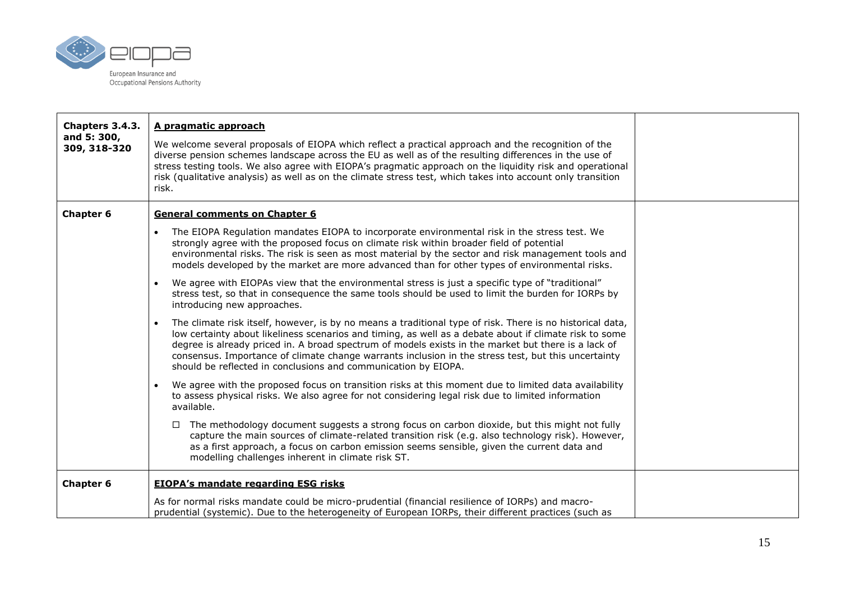

| Chapters 3.4.3.<br>and 5: 300,<br>309, 318-320 | A pragmatic approach<br>We welcome several proposals of EIOPA which reflect a practical approach and the recognition of the<br>diverse pension schemes landscape across the EU as well as of the resulting differences in the use of<br>stress testing tools. We also agree with EIOPA's pragmatic approach on the liquidity risk and operational<br>risk (qualitative analysis) as well as on the climate stress test, which takes into account only transition<br>risk.                                                                                                                                                                                                        |  |
|------------------------------------------------|----------------------------------------------------------------------------------------------------------------------------------------------------------------------------------------------------------------------------------------------------------------------------------------------------------------------------------------------------------------------------------------------------------------------------------------------------------------------------------------------------------------------------------------------------------------------------------------------------------------------------------------------------------------------------------|--|
| Chapter 6                                      | <b>General comments on Chapter 6</b><br>The EIOPA Regulation mandates EIOPA to incorporate environmental risk in the stress test. We<br>strongly agree with the proposed focus on climate risk within broader field of potential<br>environmental risks. The risk is seen as most material by the sector and risk management tools and<br>models developed by the market are more advanced than for other types of environmental risks.<br>We agree with EIOPAs view that the environmental stress is just a specific type of "traditional"<br>stress test, so that in consequence the same tools should be used to limit the burden for IORPs by<br>introducing new approaches. |  |
|                                                | The climate risk itself, however, is by no means a traditional type of risk. There is no historical data,<br>low certainty about likeliness scenarios and timing, as well as a debate about if climate risk to some<br>degree is already priced in. A broad spectrum of models exists in the market but there is a lack of<br>consensus. Importance of climate change warrants inclusion in the stress test, but this uncertainty<br>should be reflected in conclusions and communication by EIOPA.                                                                                                                                                                              |  |
|                                                | We agree with the proposed focus on transition risks at this moment due to limited data availability<br>to assess physical risks. We also agree for not considering legal risk due to limited information<br>available.<br>The methodology document suggests a strong focus on carbon dioxide, but this might not fully<br>$\Box$<br>capture the main sources of climate-related transition risk (e.g. also technology risk). However,<br>as a first approach, a focus on carbon emission seems sensible, given the current data and<br>modelling challenges inherent in climate risk ST.                                                                                        |  |
| <b>Chapter 6</b>                               | <b>EIOPA's mandate regarding ESG risks</b><br>As for normal risks mandate could be micro-prudential (financial resilience of IORPs) and macro-<br>prudential (systemic). Due to the heterogeneity of European IORPs, their different practices (such as                                                                                                                                                                                                                                                                                                                                                                                                                          |  |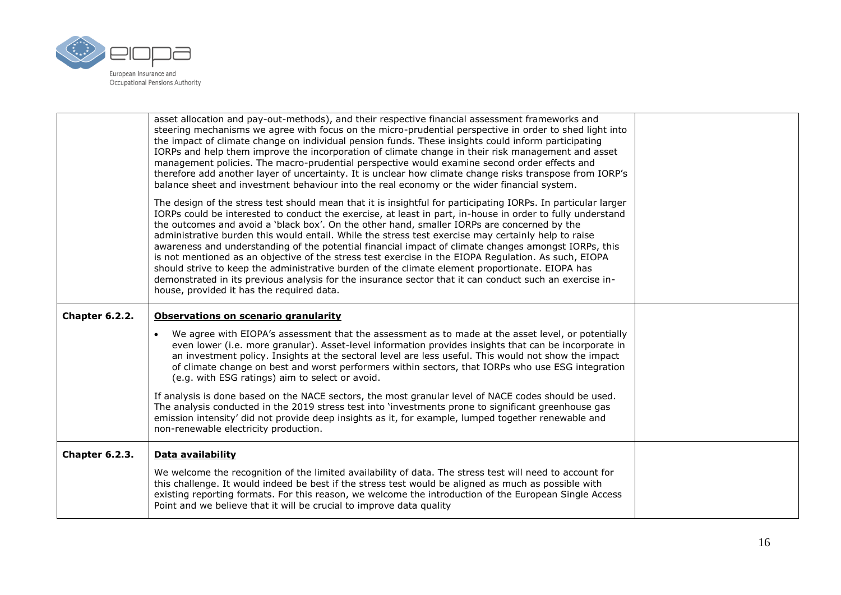

|                | asset allocation and pay-out-methods), and their respective financial assessment frameworks and<br>steering mechanisms we agree with focus on the micro-prudential perspective in order to shed light into<br>the impact of climate change on individual pension funds. These insights could inform participating<br>IORPs and help them improve the incorporation of climate change in their risk management and asset<br>management policies. The macro-prudential perspective would examine second order effects and<br>therefore add another layer of uncertainty. It is unclear how climate change risks transpose from IORP's<br>balance sheet and investment behaviour into the real economy or the wider financial system.                                                                                                                                                                           |  |
|----------------|--------------------------------------------------------------------------------------------------------------------------------------------------------------------------------------------------------------------------------------------------------------------------------------------------------------------------------------------------------------------------------------------------------------------------------------------------------------------------------------------------------------------------------------------------------------------------------------------------------------------------------------------------------------------------------------------------------------------------------------------------------------------------------------------------------------------------------------------------------------------------------------------------------------|--|
|                | The design of the stress test should mean that it is insightful for participating IORPs. In particular larger<br>IORPs could be interested to conduct the exercise, at least in part, in-house in order to fully understand<br>the outcomes and avoid a 'black box'. On the other hand, smaller IORPs are concerned by the<br>administrative burden this would entail. While the stress test exercise may certainly help to raise<br>awareness and understanding of the potential financial impact of climate changes amongst IORPs, this<br>is not mentioned as an objective of the stress test exercise in the EIOPA Regulation. As such, EIOPA<br>should strive to keep the administrative burden of the climate element proportionate. EIOPA has<br>demonstrated in its previous analysis for the insurance sector that it can conduct such an exercise in-<br>house, provided it has the required data. |  |
| Chapter 6.2.2. | Observations on scenario granularity                                                                                                                                                                                                                                                                                                                                                                                                                                                                                                                                                                                                                                                                                                                                                                                                                                                                         |  |
|                | We agree with EIOPA's assessment that the assessment as to made at the asset level, or potentially<br>even lower (i.e. more granular). Asset-level information provides insights that can be incorporate in<br>an investment policy. Insights at the sectoral level are less useful. This would not show the impact<br>of climate change on best and worst performers within sectors, that IORPs who use ESG integration<br>(e.g. with ESG ratings) aim to select or avoid.                                                                                                                                                                                                                                                                                                                                                                                                                                  |  |
|                | If analysis is done based on the NACE sectors, the most granular level of NACE codes should be used.<br>The analysis conducted in the 2019 stress test into 'investments prone to significant greenhouse gas<br>emission intensity' did not provide deep insights as it, for example, lumped together renewable and<br>non-renewable electricity production.                                                                                                                                                                                                                                                                                                                                                                                                                                                                                                                                                 |  |
| Chapter 6.2.3. | Data availability                                                                                                                                                                                                                                                                                                                                                                                                                                                                                                                                                                                                                                                                                                                                                                                                                                                                                            |  |
|                | We welcome the recognition of the limited availability of data. The stress test will need to account for<br>this challenge. It would indeed be best if the stress test would be aligned as much as possible with<br>existing reporting formats. For this reason, we welcome the introduction of the European Single Access<br>Point and we believe that it will be crucial to improve data quality                                                                                                                                                                                                                                                                                                                                                                                                                                                                                                           |  |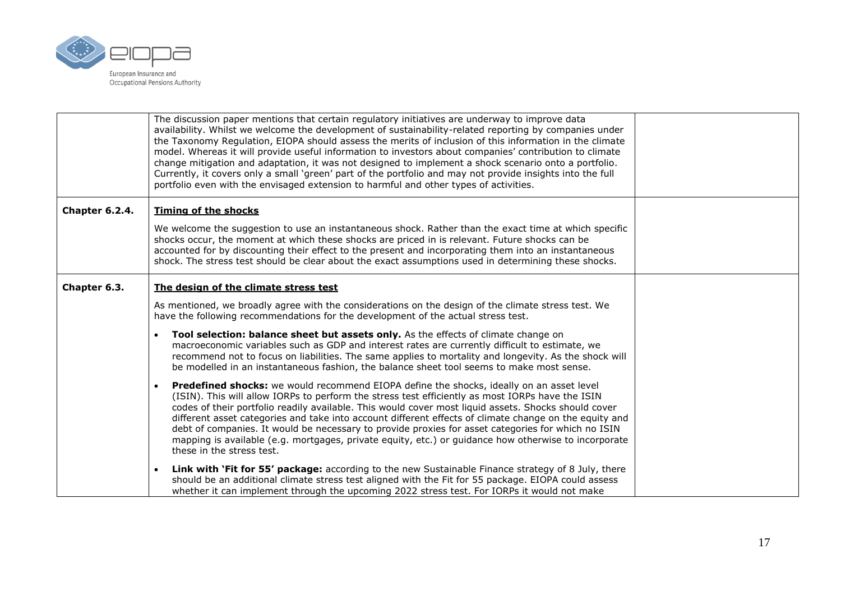

|                | The discussion paper mentions that certain regulatory initiatives are underway to improve data<br>availability. Whilst we welcome the development of sustainability-related reporting by companies under<br>the Taxonomy Regulation, EIOPA should assess the merits of inclusion of this information in the climate<br>model. Whereas it will provide useful information to investors about companies' contribution to climate<br>change mitigation and adaptation, it was not designed to implement a shock scenario onto a portfolio.<br>Currently, it covers only a small 'green' part of the portfolio and may not provide insights into the full<br>portfolio even with the envisaged extension to harmful and other types of activities. |  |
|----------------|------------------------------------------------------------------------------------------------------------------------------------------------------------------------------------------------------------------------------------------------------------------------------------------------------------------------------------------------------------------------------------------------------------------------------------------------------------------------------------------------------------------------------------------------------------------------------------------------------------------------------------------------------------------------------------------------------------------------------------------------|--|
| Chapter 6.2.4. | <b>Timing of the shocks</b>                                                                                                                                                                                                                                                                                                                                                                                                                                                                                                                                                                                                                                                                                                                    |  |
|                | We welcome the suggestion to use an instantaneous shock. Rather than the exact time at which specific<br>shocks occur, the moment at which these shocks are priced in is relevant. Future shocks can be<br>accounted for by discounting their effect to the present and incorporating them into an instantaneous<br>shock. The stress test should be clear about the exact assumptions used in determining these shocks.                                                                                                                                                                                                                                                                                                                       |  |
| Chapter 6.3.   | The design of the climate stress test                                                                                                                                                                                                                                                                                                                                                                                                                                                                                                                                                                                                                                                                                                          |  |
|                | As mentioned, we broadly agree with the considerations on the design of the climate stress test. We<br>have the following recommendations for the development of the actual stress test.                                                                                                                                                                                                                                                                                                                                                                                                                                                                                                                                                       |  |
|                | Tool selection: balance sheet but assets only. As the effects of climate change on<br>$\bullet$<br>macroeconomic variables such as GDP and interest rates are currently difficult to estimate, we<br>recommend not to focus on liabilities. The same applies to mortality and longevity. As the shock will<br>be modelled in an instantaneous fashion, the balance sheet tool seems to make most sense.                                                                                                                                                                                                                                                                                                                                        |  |
|                | <b>Predefined shocks:</b> we would recommend EIOPA define the shocks, ideally on an asset level<br>$\bullet$<br>(ISIN). This will allow IORPs to perform the stress test efficiently as most IORPs have the ISIN<br>codes of their portfolio readily available. This would cover most liquid assets. Shocks should cover<br>different asset categories and take into account different effects of climate change on the equity and<br>debt of companies. It would be necessary to provide proxies for asset categories for which no ISIN<br>mapping is available (e.g. mortgages, private equity, etc.) or guidance how otherwise to incorporate<br>these in the stress test.                                                                  |  |
|                | Link with 'Fit for 55' package: according to the new Sustainable Finance strategy of 8 July, there<br>$\bullet$<br>should be an additional climate stress test aligned with the Fit for 55 package. EIOPA could assess<br>whether it can implement through the upcoming 2022 stress test. For IORPs it would not make                                                                                                                                                                                                                                                                                                                                                                                                                          |  |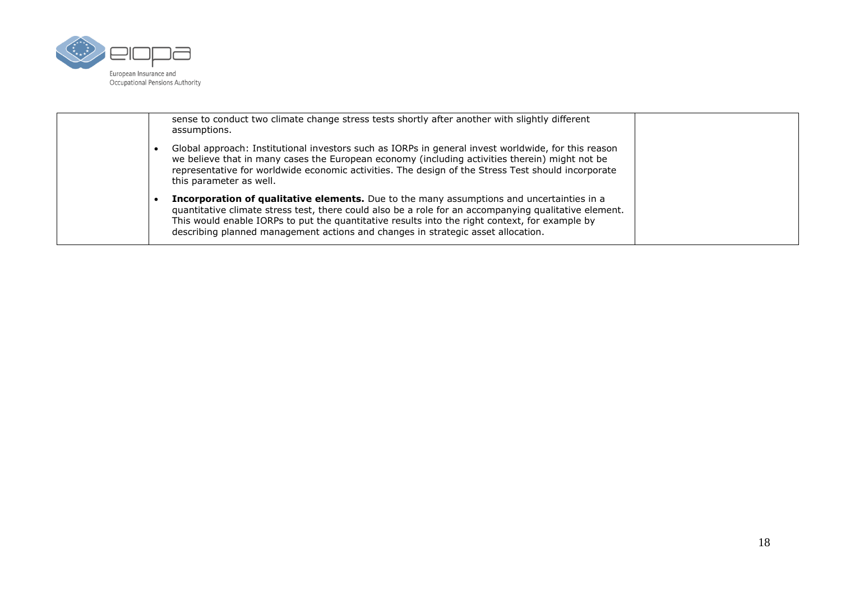

|  | sense to conduct two climate change stress tests shortly after another with slightly different<br>assumptions.                                                                                                                                                                                                                                                                                  |  |
|--|-------------------------------------------------------------------------------------------------------------------------------------------------------------------------------------------------------------------------------------------------------------------------------------------------------------------------------------------------------------------------------------------------|--|
|  | Global approach: Institutional investors such as IORPs in general invest worldwide, for this reason<br>we believe that in many cases the European economy (including activities therein) might not be<br>representative for worldwide economic activities. The design of the Stress Test should incorporate<br>this parameter as well.                                                          |  |
|  | <b>Incorporation of qualitative elements.</b> Due to the many assumptions and uncertainties in a<br>quantitative climate stress test, there could also be a role for an accompanying qualitative element.<br>This would enable IORPs to put the quantitative results into the right context, for example by<br>describing planned management actions and changes in strategic asset allocation. |  |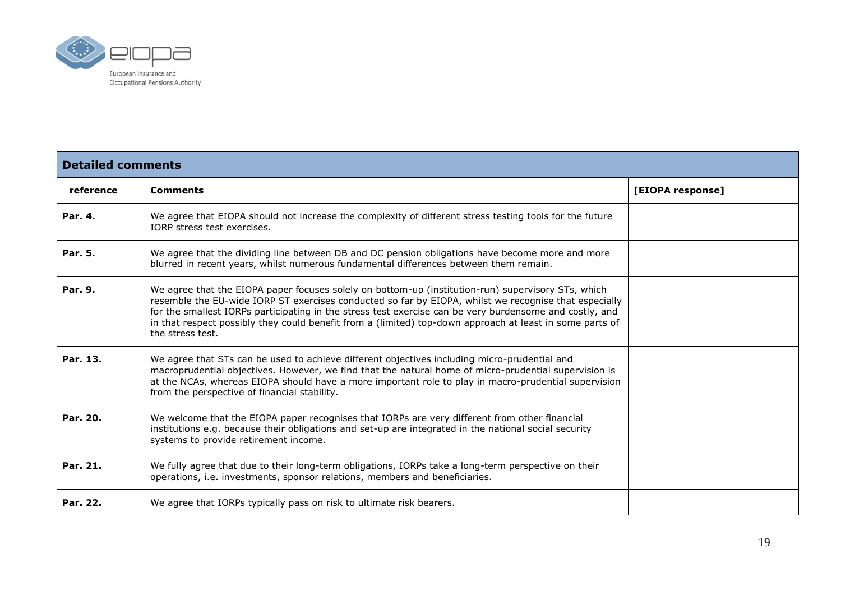

| <b>Detailed comments</b> |                                                                                                                                                                                                                                                                                                                                                                                                                                                        |                  |  |
|--------------------------|--------------------------------------------------------------------------------------------------------------------------------------------------------------------------------------------------------------------------------------------------------------------------------------------------------------------------------------------------------------------------------------------------------------------------------------------------------|------------------|--|
| reference                | <b>Comments</b>                                                                                                                                                                                                                                                                                                                                                                                                                                        | [EIOPA response] |  |
| Par. 4.                  | We agree that EIOPA should not increase the complexity of different stress testing tools for the future<br>IORP stress test exercises.                                                                                                                                                                                                                                                                                                                 |                  |  |
| Par. 5.                  | We agree that the dividing line between DB and DC pension obligations have become more and more<br>blurred in recent years, whilst numerous fundamental differences between them remain.                                                                                                                                                                                                                                                               |                  |  |
| Par. 9.                  | We agree that the EIOPA paper focuses solely on bottom-up (institution-run) supervisory STs, which<br>resemble the EU-wide IORP ST exercises conducted so far by EIOPA, whilst we recognise that especially<br>for the smallest IORPs participating in the stress test exercise can be very burdensome and costly, and<br>in that respect possibly they could benefit from a (limited) top-down approach at least in some parts of<br>the stress test. |                  |  |
| Par. 13.                 | We agree that STs can be used to achieve different objectives including micro-prudential and<br>macroprudential objectives. However, we find that the natural home of micro-prudential supervision is<br>at the NCAs, whereas EIOPA should have a more important role to play in macro-prudential supervision<br>from the perspective of financial stability.                                                                                          |                  |  |
| Par. 20.                 | We welcome that the EIOPA paper recognises that IORPs are very different from other financial<br>institutions e.g. because their obligations and set-up are integrated in the national social security<br>systems to provide retirement income.                                                                                                                                                                                                        |                  |  |
| Par. 21.                 | We fully agree that due to their long-term obligations, IORPs take a long-term perspective on their<br>operations, i.e. investments, sponsor relations, members and beneficiaries.                                                                                                                                                                                                                                                                     |                  |  |
| Par. 22.                 | We agree that IORPs typically pass on risk to ultimate risk bearers.                                                                                                                                                                                                                                                                                                                                                                                   |                  |  |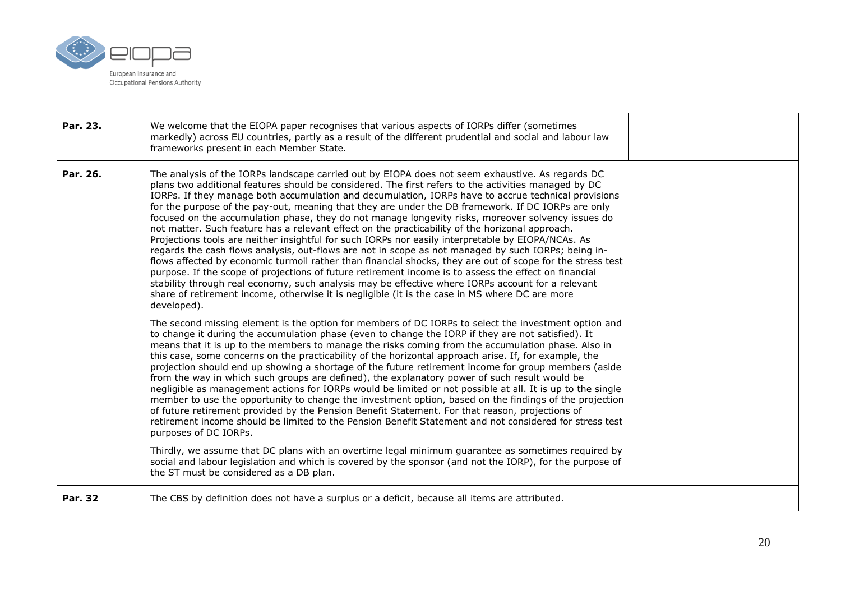

| Par. 23.       | We welcome that the EIOPA paper recognises that various aspects of IORPs differ (sometimes<br>markedly) across EU countries, partly as a result of the different prudential and social and labour law<br>frameworks present in each Member State.                                                                                                                                                                                                                                                                                                                                                                                                                                                                                                                                                                                                                                                                                                                                                                                                                                                                                                                                                                                                                                        |  |
|----------------|------------------------------------------------------------------------------------------------------------------------------------------------------------------------------------------------------------------------------------------------------------------------------------------------------------------------------------------------------------------------------------------------------------------------------------------------------------------------------------------------------------------------------------------------------------------------------------------------------------------------------------------------------------------------------------------------------------------------------------------------------------------------------------------------------------------------------------------------------------------------------------------------------------------------------------------------------------------------------------------------------------------------------------------------------------------------------------------------------------------------------------------------------------------------------------------------------------------------------------------------------------------------------------------|--|
| Par. 26.       | The analysis of the IORPs landscape carried out by EIOPA does not seem exhaustive. As regards DC<br>plans two additional features should be considered. The first refers to the activities managed by DC<br>IORPs. If they manage both accumulation and decumulation, IORPs have to accrue technical provisions<br>for the purpose of the pay-out, meaning that they are under the DB framework. If DC IORPs are only<br>focused on the accumulation phase, they do not manage longevity risks, moreover solvency issues do<br>not matter. Such feature has a relevant effect on the practicability of the horizonal approach.<br>Projections tools are neither insightful for such IORPs nor easily interpretable by EIOPA/NCAs. As<br>regards the cash flows analysis, out-flows are not in scope as not managed by such IORPs; being in-<br>flows affected by economic turmoil rather than financial shocks, they are out of scope for the stress test<br>purpose. If the scope of projections of future retirement income is to assess the effect on financial<br>stability through real economy, such analysis may be effective where IORPs account for a relevant<br>share of retirement income, otherwise it is negligible (it is the case in MS where DC are more<br>developed). |  |
|                | The second missing element is the option for members of DC IORPs to select the investment option and<br>to change it during the accumulation phase (even to change the IORP if they are not satisfied). It<br>means that it is up to the members to manage the risks coming from the accumulation phase. Also in<br>this case, some concerns on the practicability of the horizontal approach arise. If, for example, the<br>projection should end up showing a shortage of the future retirement income for group members (aside<br>from the way in which such groups are defined), the explanatory power of such result would be<br>negligible as management actions for IORPs would be limited or not possible at all. It is up to the single<br>member to use the opportunity to change the investment option, based on the findings of the projection<br>of future retirement provided by the Pension Benefit Statement. For that reason, projections of<br>retirement income should be limited to the Pension Benefit Statement and not considered for stress test<br>purposes of DC IORPs.<br>Thirdly, we assume that DC plans with an overtime legal minimum guarantee as sometimes required by                                                                                  |  |
|                | social and labour legislation and which is covered by the sponsor (and not the IORP), for the purpose of<br>the ST must be considered as a DB plan.                                                                                                                                                                                                                                                                                                                                                                                                                                                                                                                                                                                                                                                                                                                                                                                                                                                                                                                                                                                                                                                                                                                                      |  |
| <b>Par. 32</b> | The CBS by definition does not have a surplus or a deficit, because all items are attributed.                                                                                                                                                                                                                                                                                                                                                                                                                                                                                                                                                                                                                                                                                                                                                                                                                                                                                                                                                                                                                                                                                                                                                                                            |  |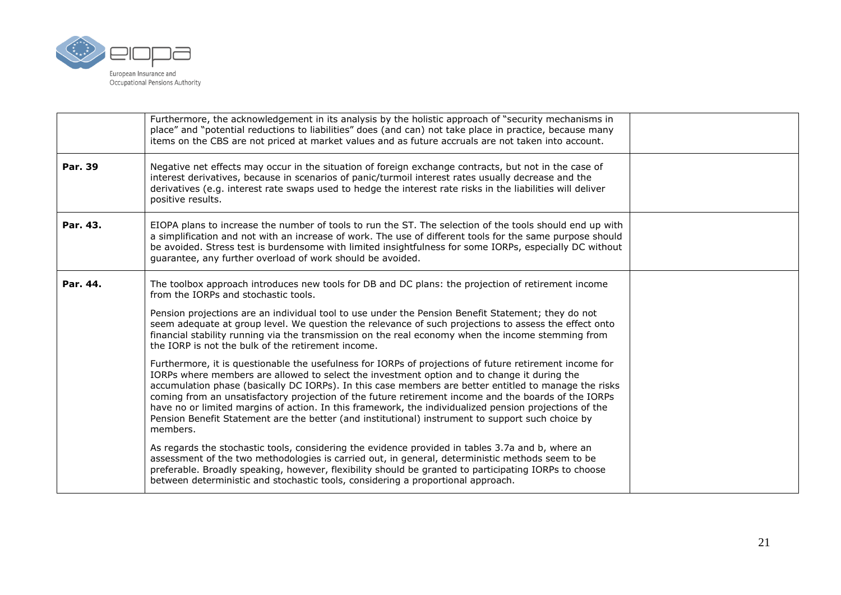

|          | Furthermore, the acknowledgement in its analysis by the holistic approach of "security mechanisms in<br>place" and "potential reductions to liabilities" does (and can) not take place in practice, because many<br>items on the CBS are not priced at market values and as future accruals are not taken into account.                                                                                                                                                                                                                                                                                                                            |  |
|----------|----------------------------------------------------------------------------------------------------------------------------------------------------------------------------------------------------------------------------------------------------------------------------------------------------------------------------------------------------------------------------------------------------------------------------------------------------------------------------------------------------------------------------------------------------------------------------------------------------------------------------------------------------|--|
| Par. 39  | Negative net effects may occur in the situation of foreign exchange contracts, but not in the case of<br>interest derivatives, because in scenarios of panic/turmoil interest rates usually decrease and the<br>derivatives (e.g. interest rate swaps used to hedge the interest rate risks in the liabilities will deliver<br>positive results.                                                                                                                                                                                                                                                                                                   |  |
| Par. 43. | EIOPA plans to increase the number of tools to run the ST. The selection of the tools should end up with<br>a simplification and not with an increase of work. The use of different tools for the same purpose should<br>be avoided. Stress test is burdensome with limited insightfulness for some IORPs, especially DC without<br>guarantee, any further overload of work should be avoided.                                                                                                                                                                                                                                                     |  |
| Par. 44. | The toolbox approach introduces new tools for DB and DC plans: the projection of retirement income<br>from the IORPs and stochastic tools.                                                                                                                                                                                                                                                                                                                                                                                                                                                                                                         |  |
|          | Pension projections are an individual tool to use under the Pension Benefit Statement; they do not<br>seem adequate at group level. We question the relevance of such projections to assess the effect onto<br>financial stability running via the transmission on the real economy when the income stemming from<br>the IORP is not the bulk of the retirement income.                                                                                                                                                                                                                                                                            |  |
|          | Furthermore, it is questionable the usefulness for IORPs of projections of future retirement income for<br>IORPs where members are allowed to select the investment option and to change it during the<br>accumulation phase (basically DC IORPs). In this case members are better entitled to manage the risks<br>coming from an unsatisfactory projection of the future retirement income and the boards of the IORPs<br>have no or limited margins of action. In this framework, the individualized pension projections of the<br>Pension Benefit Statement are the better (and institutional) instrument to support such choice by<br>members. |  |
|          | As regards the stochastic tools, considering the evidence provided in tables 3.7a and b, where an<br>assessment of the two methodologies is carried out, in general, deterministic methods seem to be<br>preferable. Broadly speaking, however, flexibility should be granted to participating IORPs to choose<br>between deterministic and stochastic tools, considering a proportional approach.                                                                                                                                                                                                                                                 |  |
|          |                                                                                                                                                                                                                                                                                                                                                                                                                                                                                                                                                                                                                                                    |  |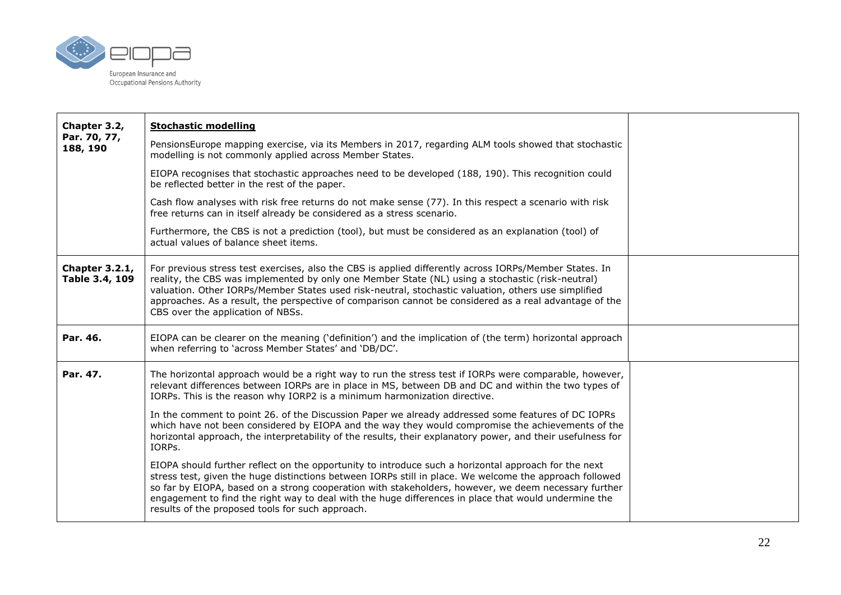

| Chapter 3.2,                            | <b>Stochastic modelling</b>                                                                                                                                                                                                                                                                                                                                                                                                                                                         |  |
|-----------------------------------------|-------------------------------------------------------------------------------------------------------------------------------------------------------------------------------------------------------------------------------------------------------------------------------------------------------------------------------------------------------------------------------------------------------------------------------------------------------------------------------------|--|
| Par. 70, 77,<br>188, 190                | PensionsEurope mapping exercise, via its Members in 2017, regarding ALM tools showed that stochastic<br>modelling is not commonly applied across Member States.                                                                                                                                                                                                                                                                                                                     |  |
|                                         | EIOPA recognises that stochastic approaches need to be developed (188, 190). This recognition could<br>be reflected better in the rest of the paper.                                                                                                                                                                                                                                                                                                                                |  |
|                                         | Cash flow analyses with risk free returns do not make sense (77). In this respect a scenario with risk<br>free returns can in itself already be considered as a stress scenario.                                                                                                                                                                                                                                                                                                    |  |
|                                         | Furthermore, the CBS is not a prediction (tool), but must be considered as an explanation (tool) of<br>actual values of balance sheet items.                                                                                                                                                                                                                                                                                                                                        |  |
| <b>Chapter 3.2.1,</b><br>Table 3.4, 109 | For previous stress test exercises, also the CBS is applied differently across IORPs/Member States. In<br>reality, the CBS was implemented by only one Member State (NL) using a stochastic (risk-neutral)<br>valuation. Other IORPs/Member States used risk-neutral, stochastic valuation, others use simplified<br>approaches. As a result, the perspective of comparison cannot be considered as a real advantage of the<br>CBS over the application of NBSs.                    |  |
| Par. 46.                                | EIOPA can be clearer on the meaning ('definition') and the implication of (the term) horizontal approach<br>when referring to 'across Member States' and 'DB/DC'.                                                                                                                                                                                                                                                                                                                   |  |
| Par. 47.                                | The horizontal approach would be a right way to run the stress test if IORPs were comparable, however,<br>relevant differences between IORPs are in place in MS, between DB and DC and within the two types of<br>IORPs. This is the reason why IORP2 is a minimum harmonization directive.                                                                                                                                                                                         |  |
|                                         | In the comment to point 26. of the Discussion Paper we already addressed some features of DC IOPRs<br>which have not been considered by EIOPA and the way they would compromise the achievements of the<br>horizontal approach, the interpretability of the results, their explanatory power, and their usefulness for<br>IORPs.                                                                                                                                                    |  |
|                                         | EIOPA should further reflect on the opportunity to introduce such a horizontal approach for the next<br>stress test, given the huge distinctions between IORPs still in place. We welcome the approach followed<br>so far by EIOPA, based on a strong cooperation with stakeholders, however, we deem necessary further<br>engagement to find the right way to deal with the huge differences in place that would undermine the<br>results of the proposed tools for such approach. |  |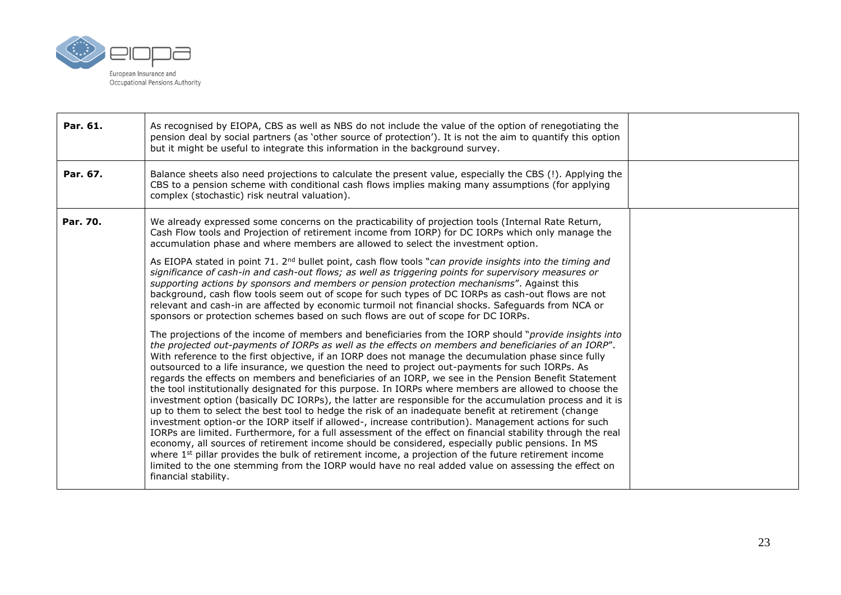

| Par. 61. | As recognised by EIOPA, CBS as well as NBS do not include the value of the option of renegotiating the<br>pension deal by social partners (as 'other source of protection'). It is not the aim to quantify this option<br>but it might be useful to integrate this information in the background survey.                                                                                                                                                                                                                                                                                                                                                                                                                                                                                                                                                                                                                                                                                                                                                                                                                                                                                                                                                                                                                                                                                                                               |  |
|----------|----------------------------------------------------------------------------------------------------------------------------------------------------------------------------------------------------------------------------------------------------------------------------------------------------------------------------------------------------------------------------------------------------------------------------------------------------------------------------------------------------------------------------------------------------------------------------------------------------------------------------------------------------------------------------------------------------------------------------------------------------------------------------------------------------------------------------------------------------------------------------------------------------------------------------------------------------------------------------------------------------------------------------------------------------------------------------------------------------------------------------------------------------------------------------------------------------------------------------------------------------------------------------------------------------------------------------------------------------------------------------------------------------------------------------------------|--|
| Par. 67. | Balance sheets also need projections to calculate the present value, especially the CBS (!). Applying the<br>CBS to a pension scheme with conditional cash flows implies making many assumptions (for applying<br>complex (stochastic) risk neutral valuation).                                                                                                                                                                                                                                                                                                                                                                                                                                                                                                                                                                                                                                                                                                                                                                                                                                                                                                                                                                                                                                                                                                                                                                        |  |
| Par. 70. | We already expressed some concerns on the practicability of projection tools (Internal Rate Return,<br>Cash Flow tools and Projection of retirement income from IORP) for DC IORPs which only manage the<br>accumulation phase and where members are allowed to select the investment option.                                                                                                                                                                                                                                                                                                                                                                                                                                                                                                                                                                                                                                                                                                                                                                                                                                                                                                                                                                                                                                                                                                                                          |  |
|          | As EIOPA stated in point 71. 2 <sup>nd</sup> bullet point, cash flow tools "can provide insights into the timing and<br>significance of cash-in and cash-out flows; as well as triggering points for supervisory measures or<br>supporting actions by sponsors and members or pension protection mechanisms". Against this<br>background, cash flow tools seem out of scope for such types of DC IORPs as cash-out flows are not<br>relevant and cash-in are affected by economic turmoil not financial shocks. Safeguards from NCA or<br>sponsors or protection schemes based on such flows are out of scope for DC IORPs.                                                                                                                                                                                                                                                                                                                                                                                                                                                                                                                                                                                                                                                                                                                                                                                                            |  |
|          | The projections of the income of members and beneficiaries from the IORP should "provide insights into<br>the projected out-payments of IORPs as well as the effects on members and beneficiaries of an IORP".<br>With reference to the first objective, if an IORP does not manage the decumulation phase since fully<br>outsourced to a life insurance, we question the need to project out-payments for such IORPs. As<br>regards the effects on members and beneficiaries of an IORP, we see in the Pension Benefit Statement<br>the tool institutionally designated for this purpose. In IORPs where members are allowed to choose the<br>investment option (basically DC IORPs), the latter are responsible for the accumulation process and it is<br>up to them to select the best tool to hedge the risk of an inadequate benefit at retirement (change<br>investment option-or the IORP itself if allowed-, increase contribution). Management actions for such<br>IORPs are limited. Furthermore, for a full assessment of the effect on financial stability through the real<br>economy, all sources of retirement income should be considered, especially public pensions. In MS<br>where $1st$ pillar provides the bulk of retirement income, a projection of the future retirement income<br>limited to the one stemming from the IORP would have no real added value on assessing the effect on<br>financial stability. |  |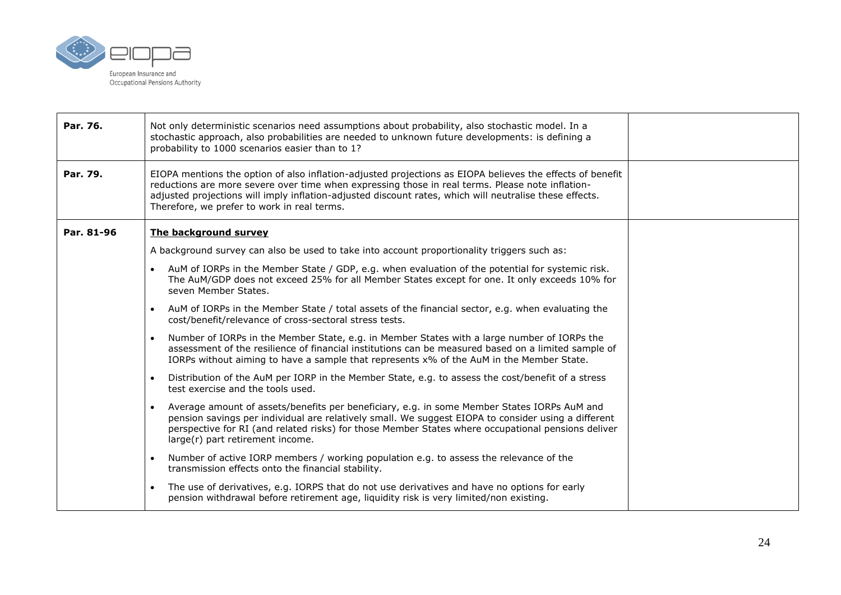

| Par. 76.   | Not only deterministic scenarios need assumptions about probability, also stochastic model. In a<br>stochastic approach, also probabilities are needed to unknown future developments: is defining a<br>probability to 1000 scenarios easier than to 1?                                                                                                                 |  |
|------------|-------------------------------------------------------------------------------------------------------------------------------------------------------------------------------------------------------------------------------------------------------------------------------------------------------------------------------------------------------------------------|--|
| Par. 79.   | EIOPA mentions the option of also inflation-adjusted projections as EIOPA believes the effects of benefit<br>reductions are more severe over time when expressing those in real terms. Please note inflation-<br>adjusted projections will imply inflation-adjusted discount rates, which will neutralise these effects.<br>Therefore, we prefer to work in real terms. |  |
| Par. 81-96 | The background survey                                                                                                                                                                                                                                                                                                                                                   |  |
|            | A background survey can also be used to take into account proportionality triggers such as:                                                                                                                                                                                                                                                                             |  |
|            | AuM of IORPs in the Member State / GDP, e.g. when evaluation of the potential for systemic risk.<br>The AuM/GDP does not exceed 25% for all Member States except for one. It only exceeds 10% for<br>seven Member States.                                                                                                                                               |  |
|            | AuM of IORPs in the Member State / total assets of the financial sector, e.g. when evaluating the<br>$\bullet$<br>cost/benefit/relevance of cross-sectoral stress tests.                                                                                                                                                                                                |  |
|            | Number of IORPs in the Member State, e.g. in Member States with a large number of IORPs the<br>$\bullet$<br>assessment of the resilience of financial institutions can be measured based on a limited sample of<br>IORPs without aiming to have a sample that represents x% of the AuM in the Member State.                                                             |  |
|            | Distribution of the AuM per IORP in the Member State, e.g. to assess the cost/benefit of a stress<br>$\bullet$<br>test exercise and the tools used.                                                                                                                                                                                                                     |  |
|            | Average amount of assets/benefits per beneficiary, e.g. in some Member States IORPs AuM and<br>$\bullet$<br>pension savings per individual are relatively small. We suggest EIOPA to consider using a different<br>perspective for RI (and related risks) for those Member States where occupational pensions deliver<br>large(r) part retirement income.               |  |
|            | Number of active IORP members / working population e.g. to assess the relevance of the<br>$\bullet$<br>transmission effects onto the financial stability.                                                                                                                                                                                                               |  |
|            | The use of derivatives, e.g. IORPS that do not use derivatives and have no options for early<br>$\bullet$<br>pension withdrawal before retirement age, liquidity risk is very limited/non existing.                                                                                                                                                                     |  |
|            |                                                                                                                                                                                                                                                                                                                                                                         |  |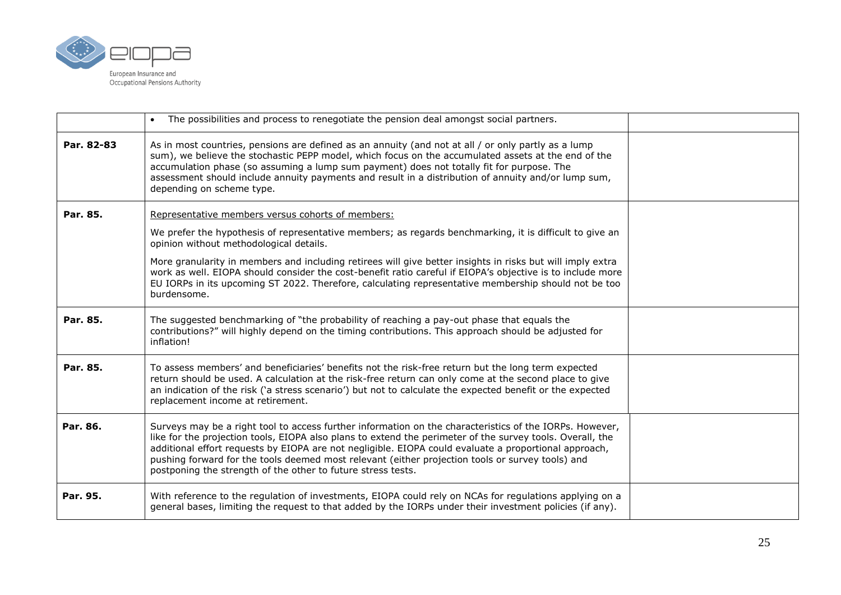

|            | The possibilities and process to renegotiate the pension deal amongst social partners.                                                                                                                                                                                                                                                                                                                                                                                                            |  |
|------------|---------------------------------------------------------------------------------------------------------------------------------------------------------------------------------------------------------------------------------------------------------------------------------------------------------------------------------------------------------------------------------------------------------------------------------------------------------------------------------------------------|--|
| Par. 82-83 | As in most countries, pensions are defined as an annuity (and not at all / or only partly as a lump<br>sum), we believe the stochastic PEPP model, which focus on the accumulated assets at the end of the<br>accumulation phase (so assuming a lump sum payment) does not totally fit for purpose. The<br>assessment should include annuity payments and result in a distribution of annuity and/or lump sum,<br>depending on scheme type.                                                       |  |
| Par. 85.   | Representative members versus cohorts of members:                                                                                                                                                                                                                                                                                                                                                                                                                                                 |  |
|            | We prefer the hypothesis of representative members; as regards benchmarking, it is difficult to give an<br>opinion without methodological details.                                                                                                                                                                                                                                                                                                                                                |  |
|            | More granularity in members and including retirees will give better insights in risks but will imply extra<br>work as well. EIOPA should consider the cost-benefit ratio careful if EIOPA's objective is to include more<br>EU IORPs in its upcoming ST 2022. Therefore, calculating representative membership should not be too<br>burdensome.                                                                                                                                                   |  |
| Par. 85.   | The suggested benchmarking of "the probability of reaching a pay-out phase that equals the<br>contributions?" will highly depend on the timing contributions. This approach should be adjusted for<br>inflation!                                                                                                                                                                                                                                                                                  |  |
| Par. 85.   | To assess members' and beneficiaries' benefits not the risk-free return but the long term expected<br>return should be used. A calculation at the risk-free return can only come at the second place to give<br>an indication of the risk ('a stress scenario') but not to calculate the expected benefit or the expected<br>replacement income at retirement.                                                                                                                                    |  |
| Par. 86.   | Surveys may be a right tool to access further information on the characteristics of the IORPs. However,<br>like for the projection tools, EIOPA also plans to extend the perimeter of the survey tools. Overall, the<br>additional effort requests by EIOPA are not negligible. EIOPA could evaluate a proportional approach,<br>pushing forward for the tools deemed most relevant (either projection tools or survey tools) and<br>postponing the strength of the other to future stress tests. |  |
| Par. 95.   | With reference to the regulation of investments, EIOPA could rely on NCAs for regulations applying on a<br>general bases, limiting the request to that added by the IORPs under their investment policies (if any).                                                                                                                                                                                                                                                                               |  |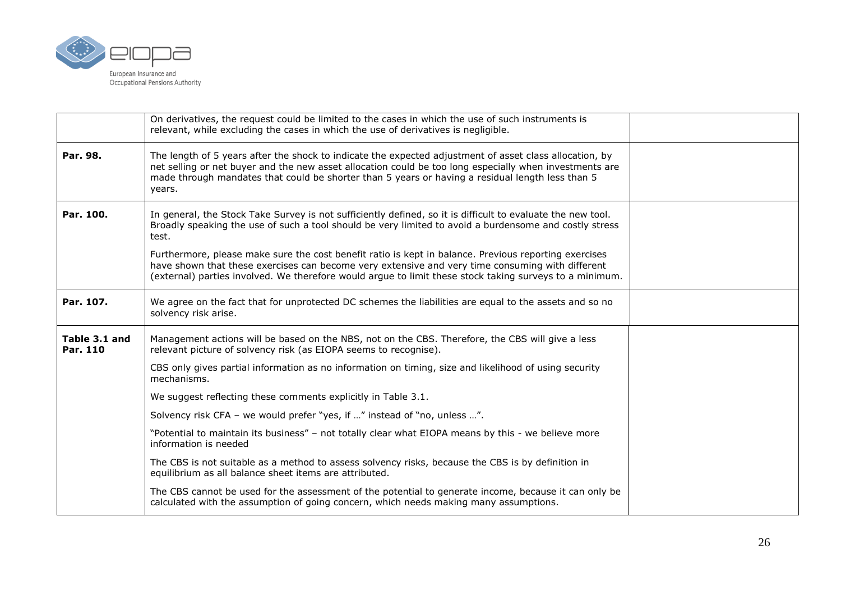

|                           | On derivatives, the request could be limited to the cases in which the use of such instruments is<br>relevant, while excluding the cases in which the use of derivatives is negligible.                                                                                                                                          |  |
|---------------------------|----------------------------------------------------------------------------------------------------------------------------------------------------------------------------------------------------------------------------------------------------------------------------------------------------------------------------------|--|
| Par. 98.                  | The length of 5 years after the shock to indicate the expected adjustment of asset class allocation, by<br>net selling or net buyer and the new asset allocation could be too long especially when investments are<br>made through mandates that could be shorter than 5 years or having a residual length less than 5<br>years. |  |
| Par. 100.                 | In general, the Stock Take Survey is not sufficiently defined, so it is difficult to evaluate the new tool.<br>Broadly speaking the use of such a tool should be very limited to avoid a burdensome and costly stress<br>test.                                                                                                   |  |
|                           | Furthermore, please make sure the cost benefit ratio is kept in balance. Previous reporting exercises<br>have shown that these exercises can become very extensive and very time consuming with different<br>(external) parties involved. We therefore would argue to limit these stock taking surveys to a minimum.             |  |
| Par. 107.                 | We agree on the fact that for unprotected DC schemes the liabilities are equal to the assets and so no<br>solvency risk arise.                                                                                                                                                                                                   |  |
| Table 3.1 and<br>Par. 110 | Management actions will be based on the NBS, not on the CBS. Therefore, the CBS will give a less<br>relevant picture of solvency risk (as EIOPA seems to recognise).                                                                                                                                                             |  |
|                           | CBS only gives partial information as no information on timing, size and likelihood of using security<br>mechanisms.                                                                                                                                                                                                             |  |
|                           | We suggest reflecting these comments explicitly in Table 3.1.                                                                                                                                                                                                                                                                    |  |
|                           | Solvency risk CFA - we would prefer "yes, if " instead of "no, unless ".                                                                                                                                                                                                                                                         |  |
|                           | "Potential to maintain its business" - not totally clear what EIOPA means by this - we believe more<br>information is needed                                                                                                                                                                                                     |  |
|                           | The CBS is not suitable as a method to assess solvency risks, because the CBS is by definition in<br>equilibrium as all balance sheet items are attributed.                                                                                                                                                                      |  |
|                           | The CBS cannot be used for the assessment of the potential to generate income, because it can only be<br>calculated with the assumption of going concern, which needs making many assumptions.                                                                                                                                   |  |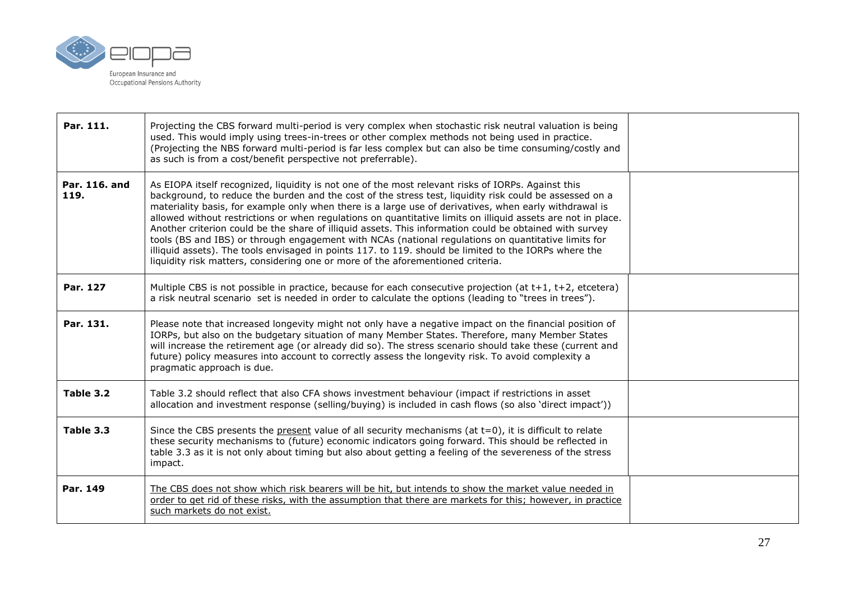

| Par. 111.             | Projecting the CBS forward multi-period is very complex when stochastic risk neutral valuation is being<br>used. This would imply using trees-in-trees or other complex methods not being used in practice.<br>(Projecting the NBS forward multi-period is far less complex but can also be time consuming/costly and<br>as such is from a cost/benefit perspective not preferrable).                                                                                                                                                                                                                                                                                                                                                                                                                                                                 |  |
|-----------------------|-------------------------------------------------------------------------------------------------------------------------------------------------------------------------------------------------------------------------------------------------------------------------------------------------------------------------------------------------------------------------------------------------------------------------------------------------------------------------------------------------------------------------------------------------------------------------------------------------------------------------------------------------------------------------------------------------------------------------------------------------------------------------------------------------------------------------------------------------------|--|
| Par. 116. and<br>119. | As EIOPA itself recognized, liquidity is not one of the most relevant risks of IORPs. Against this<br>background, to reduce the burden and the cost of the stress test, liquidity risk could be assessed on a<br>materiality basis, for example only when there is a large use of derivatives, when early withdrawal is<br>allowed without restrictions or when regulations on quantitative limits on illiquid assets are not in place.<br>Another criterion could be the share of illiquid assets. This information could be obtained with survey<br>tools (BS and IBS) or through engagement with NCAs (national regulations on quantitative limits for<br>illiquid assets). The tools envisaged in points 117. to 119. should be limited to the IORPs where the<br>liquidity risk matters, considering one or more of the aforementioned criteria. |  |
| Par. 127              | Multiple CBS is not possible in practice, because for each consecutive projection (at t+1, t+2, etcetera)<br>a risk neutral scenario set is needed in order to calculate the options (leading to "trees in trees").                                                                                                                                                                                                                                                                                                                                                                                                                                                                                                                                                                                                                                   |  |
| Par. 131.             | Please note that increased longevity might not only have a negative impact on the financial position of<br>IORPs, but also on the budgetary situation of many Member States. Therefore, many Member States<br>will increase the retirement age (or already did so). The stress scenario should take these (current and<br>future) policy measures into account to correctly assess the longevity risk. To avoid complexity a<br>pragmatic approach is due.                                                                                                                                                                                                                                                                                                                                                                                            |  |
| Table 3.2             | Table 3.2 should reflect that also CFA shows investment behaviour (impact if restrictions in asset<br>allocation and investment response (selling/buying) is included in cash flows (so also 'direct impact'))                                                                                                                                                                                                                                                                                                                                                                                                                                                                                                                                                                                                                                        |  |
| Table 3.3             | Since the CBS presents the present value of all security mechanisms (at $t=0$ ), it is difficult to relate<br>these security mechanisms to (future) economic indicators going forward. This should be reflected in<br>table 3.3 as it is not only about timing but also about getting a feeling of the severeness of the stress<br>impact.                                                                                                                                                                                                                                                                                                                                                                                                                                                                                                            |  |
| Par. 149              | The CBS does not show which risk bearers will be hit, but intends to show the market value needed in<br>order to get rid of these risks, with the assumption that there are markets for this; however, in practice<br>such markets do not exist.                                                                                                                                                                                                                                                                                                                                                                                                                                                                                                                                                                                                      |  |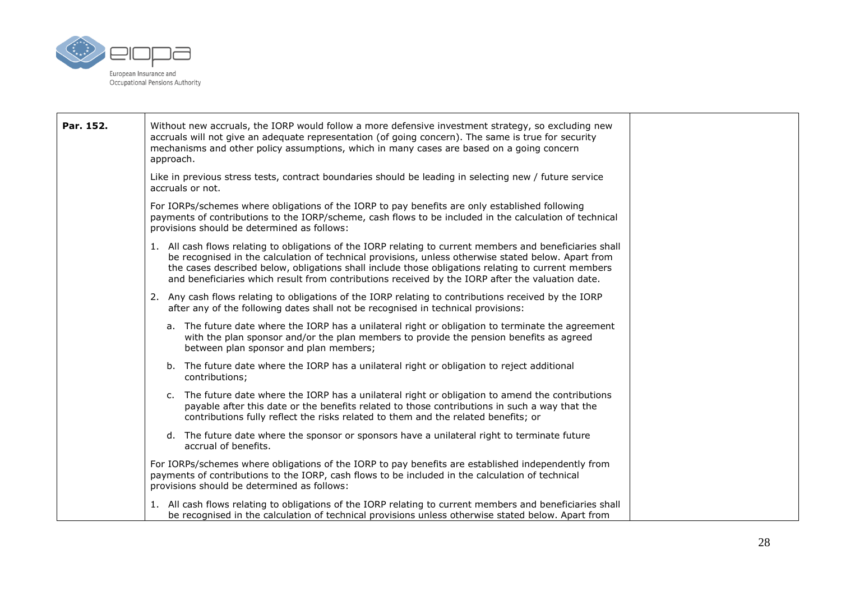

| Par. 152. | Without new accruals, the IORP would follow a more defensive investment strategy, so excluding new<br>accruals will not give an adequate representation (of going concern). The same is true for security<br>mechanisms and other policy assumptions, which in many cases are based on a going concern<br>approach.                                                                                                        |  |
|-----------|----------------------------------------------------------------------------------------------------------------------------------------------------------------------------------------------------------------------------------------------------------------------------------------------------------------------------------------------------------------------------------------------------------------------------|--|
|           | Like in previous stress tests, contract boundaries should be leading in selecting new / future service<br>accruals or not.                                                                                                                                                                                                                                                                                                 |  |
|           | For IORPs/schemes where obligations of the IORP to pay benefits are only established following<br>payments of contributions to the IORP/scheme, cash flows to be included in the calculation of technical<br>provisions should be determined as follows:                                                                                                                                                                   |  |
|           | 1. All cash flows relating to obligations of the IORP relating to current members and beneficiaries shall<br>be recognised in the calculation of technical provisions, unless otherwise stated below. Apart from<br>the cases described below, obligations shall include those obligations relating to current members<br>and beneficiaries which result from contributions received by the IORP after the valuation date. |  |
|           | 2. Any cash flows relating to obligations of the IORP relating to contributions received by the IORP<br>after any of the following dates shall not be recognised in technical provisions:                                                                                                                                                                                                                                  |  |
|           | a. The future date where the IORP has a unilateral right or obligation to terminate the agreement<br>with the plan sponsor and/or the plan members to provide the pension benefits as agreed<br>between plan sponsor and plan members;                                                                                                                                                                                     |  |
|           | b. The future date where the IORP has a unilateral right or obligation to reject additional<br>contributions;                                                                                                                                                                                                                                                                                                              |  |
|           | c. The future date where the IORP has a unilateral right or obligation to amend the contributions<br>payable after this date or the benefits related to those contributions in such a way that the<br>contributions fully reflect the risks related to them and the related benefits; or                                                                                                                                   |  |
|           | d. The future date where the sponsor or sponsors have a unilateral right to terminate future<br>accrual of benefits.                                                                                                                                                                                                                                                                                                       |  |
|           | For IORPs/schemes where obligations of the IORP to pay benefits are established independently from<br>payments of contributions to the IORP, cash flows to be included in the calculation of technical<br>provisions should be determined as follows:                                                                                                                                                                      |  |
|           | 1. All cash flows relating to obligations of the IORP relating to current members and beneficiaries shall<br>be recognised in the calculation of technical provisions unless otherwise stated below. Apart from                                                                                                                                                                                                            |  |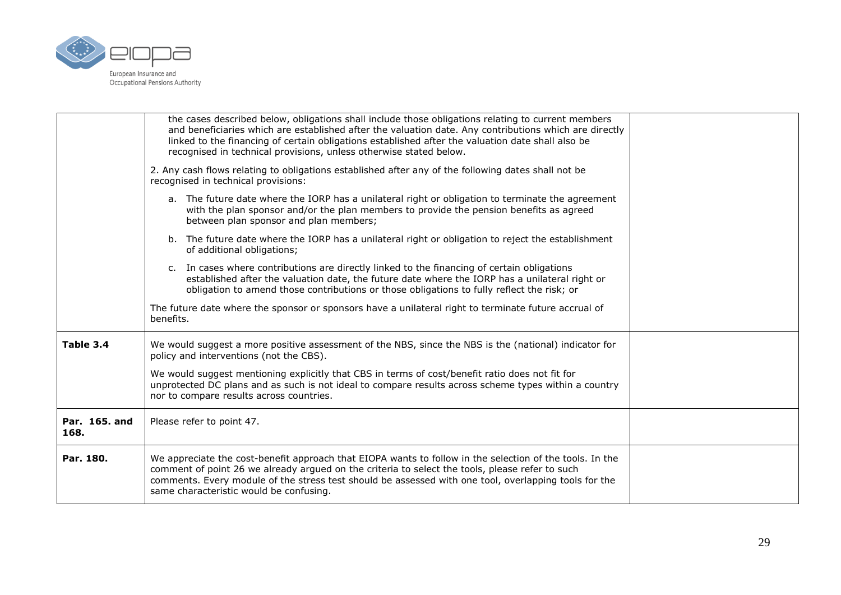

|                       | the cases described below, obligations shall include those obligations relating to current members<br>and beneficiaries which are established after the valuation date. Any contributions which are directly<br>linked to the financing of certain obligations established after the valuation date shall also be<br>recognised in technical provisions, unless otherwise stated below. |  |
|-----------------------|-----------------------------------------------------------------------------------------------------------------------------------------------------------------------------------------------------------------------------------------------------------------------------------------------------------------------------------------------------------------------------------------|--|
|                       | 2. Any cash flows relating to obligations established after any of the following dates shall not be<br>recognised in technical provisions:                                                                                                                                                                                                                                              |  |
|                       | a. The future date where the IORP has a unilateral right or obligation to terminate the agreement<br>with the plan sponsor and/or the plan members to provide the pension benefits as agreed<br>between plan sponsor and plan members;                                                                                                                                                  |  |
|                       | b. The future date where the IORP has a unilateral right or obligation to reject the establishment<br>of additional obligations;                                                                                                                                                                                                                                                        |  |
|                       | c. In cases where contributions are directly linked to the financing of certain obligations<br>established after the valuation date, the future date where the IORP has a unilateral right or<br>obligation to amend those contributions or those obligations to fully reflect the risk; or                                                                                             |  |
|                       | The future date where the sponsor or sponsors have a unilateral right to terminate future accrual of<br>benefits.                                                                                                                                                                                                                                                                       |  |
| Table 3.4             | We would suggest a more positive assessment of the NBS, since the NBS is the (national) indicator for<br>policy and interventions (not the CBS).                                                                                                                                                                                                                                        |  |
|                       | We would suggest mentioning explicitly that CBS in terms of cost/benefit ratio does not fit for<br>unprotected DC plans and as such is not ideal to compare results across scheme types within a country<br>nor to compare results across countries.                                                                                                                                    |  |
| Par. 165. and<br>168. | Please refer to point 47.                                                                                                                                                                                                                                                                                                                                                               |  |
| Par. 180.             | We appreciate the cost-benefit approach that EIOPA wants to follow in the selection of the tools. In the<br>comment of point 26 we already argued on the criteria to select the tools, please refer to such<br>comments. Every module of the stress test should be assessed with one tool, overlapping tools for the<br>same characteristic would be confusing.                         |  |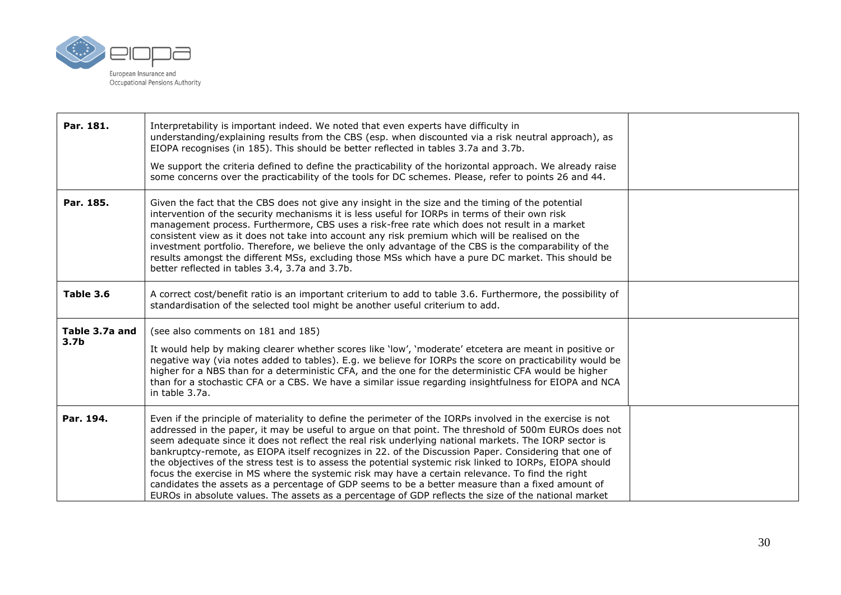

| Par. 181.                          | Interpretability is important indeed. We noted that even experts have difficulty in<br>understanding/explaining results from the CBS (esp. when discounted via a risk neutral approach), as<br>EIOPA recognises (in 185). This should be better reflected in tables 3.7a and 3.7b.<br>We support the criteria defined to define the practicability of the horizontal approach. We already raise<br>some concerns over the practicability of the tools for DC schemes. Please, refer to points 26 and 44.                                                                                                                                                                                                                                                                                                                                                         |  |
|------------------------------------|------------------------------------------------------------------------------------------------------------------------------------------------------------------------------------------------------------------------------------------------------------------------------------------------------------------------------------------------------------------------------------------------------------------------------------------------------------------------------------------------------------------------------------------------------------------------------------------------------------------------------------------------------------------------------------------------------------------------------------------------------------------------------------------------------------------------------------------------------------------|--|
| Par. 185.                          | Given the fact that the CBS does not give any insight in the size and the timing of the potential<br>intervention of the security mechanisms it is less useful for IORPs in terms of their own risk<br>management process. Furthermore, CBS uses a risk-free rate which does not result in a market<br>consistent view as it does not take into account any risk premium which will be realised on the<br>investment portfolio. Therefore, we believe the only advantage of the CBS is the comparability of the<br>results amongst the different MSs, excluding those MSs which have a pure DC market. This should be<br>better reflected in tables 3.4, 3.7a and 3.7b.                                                                                                                                                                                          |  |
| Table 3.6                          | A correct cost/benefit ratio is an important criterium to add to table 3.6. Furthermore, the possibility of<br>standardisation of the selected tool might be another useful criterium to add.                                                                                                                                                                                                                                                                                                                                                                                                                                                                                                                                                                                                                                                                    |  |
| Table 3.7a and<br>3.7 <sub>b</sub> | (see also comments on 181 and 185)<br>It would help by making clearer whether scores like 'low', 'moderate' etcetera are meant in positive or<br>negative way (via notes added to tables). E.g. we believe for IORPs the score on practicability would be<br>higher for a NBS than for a deterministic CFA, and the one for the deterministic CFA would be higher<br>than for a stochastic CFA or a CBS. We have a similar issue regarding insightfulness for EIOPA and NCA<br>in table 3.7a.                                                                                                                                                                                                                                                                                                                                                                    |  |
| Par. 194.                          | Even if the principle of materiality to define the perimeter of the IORPs involved in the exercise is not<br>addressed in the paper, it may be useful to argue on that point. The threshold of 500m EUROs does not<br>seem adequate since it does not reflect the real risk underlying national markets. The IORP sector is<br>bankruptcy-remote, as EIOPA itself recognizes in 22. of the Discussion Paper. Considering that one of<br>the objectives of the stress test is to assess the potential systemic risk linked to IORPs, EIOPA should<br>focus the exercise in MS where the systemic risk may have a certain relevance. To find the right<br>candidates the assets as a percentage of GDP seems to be a better measure than a fixed amount of<br>EUROs in absolute values. The assets as a percentage of GDP reflects the size of the national market |  |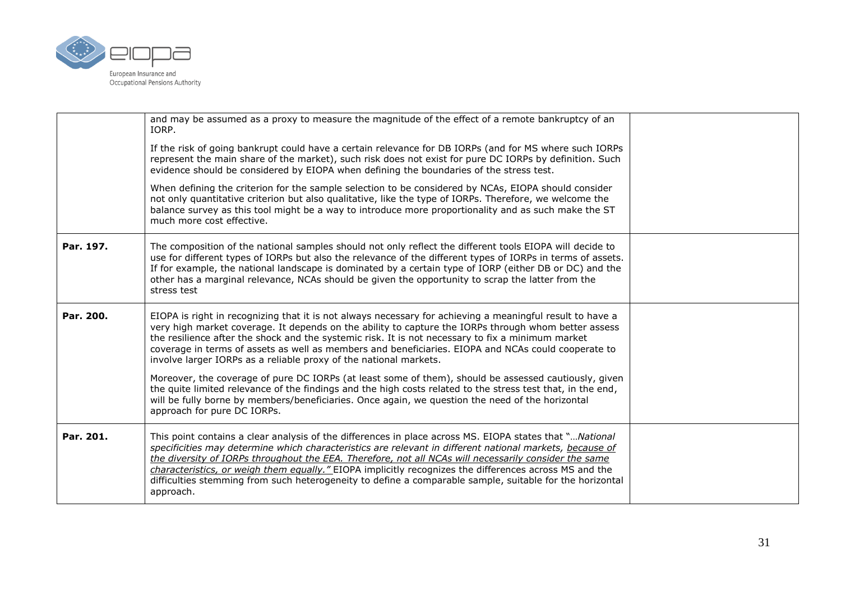

|           | and may be assumed as a proxy to measure the magnitude of the effect of a remote bankruptcy of an<br>IORP.                                                                                                                                                                                                                                                                                                                                                                                                                                                      |  |
|-----------|-----------------------------------------------------------------------------------------------------------------------------------------------------------------------------------------------------------------------------------------------------------------------------------------------------------------------------------------------------------------------------------------------------------------------------------------------------------------------------------------------------------------------------------------------------------------|--|
|           | If the risk of going bankrupt could have a certain relevance for DB IORPs (and for MS where such IORPs<br>represent the main share of the market), such risk does not exist for pure DC IORPs by definition. Such<br>evidence should be considered by EIOPA when defining the boundaries of the stress test.                                                                                                                                                                                                                                                    |  |
|           | When defining the criterion for the sample selection to be considered by NCAs, EIOPA should consider<br>not only quantitative criterion but also qualitative, like the type of IORPs. Therefore, we welcome the<br>balance survey as this tool might be a way to introduce more proportionality and as such make the ST<br>much more cost effective.                                                                                                                                                                                                            |  |
| Par. 197. | The composition of the national samples should not only reflect the different tools EIOPA will decide to<br>use for different types of IORPs but also the relevance of the different types of IORPs in terms of assets.<br>If for example, the national landscape is dominated by a certain type of IORP (either DB or DC) and the<br>other has a marginal relevance, NCAs should be given the opportunity to scrap the latter from the<br>stress test                                                                                                          |  |
| Par. 200. | EIOPA is right in recognizing that it is not always necessary for achieving a meaningful result to have a<br>very high market coverage. It depends on the ability to capture the IORPs through whom better assess<br>the resilience after the shock and the systemic risk. It is not necessary to fix a minimum market<br>coverage in terms of assets as well as members and beneficiaries. EIOPA and NCAs could cooperate to<br>involve larger IORPs as a reliable proxy of the national markets.                                                              |  |
|           | Moreover, the coverage of pure DC IORPs (at least some of them), should be assessed cautiously, given<br>the quite limited relevance of the findings and the high costs related to the stress test that, in the end,<br>will be fully borne by members/beneficiaries. Once again, we question the need of the horizontal<br>approach for pure DC IORPs.                                                                                                                                                                                                         |  |
| Par. 201. | This point contains a clear analysis of the differences in place across MS. EIOPA states that "National<br>specificities may determine which characteristics are relevant in different national markets, because of<br>the diversity of IORPs throughout the EEA. Therefore, not all NCAs will necessarily consider the same<br>characteristics, or weigh them equally." EIOPA implicitly recognizes the differences across MS and the<br>difficulties stemming from such heterogeneity to define a comparable sample, suitable for the horizontal<br>approach. |  |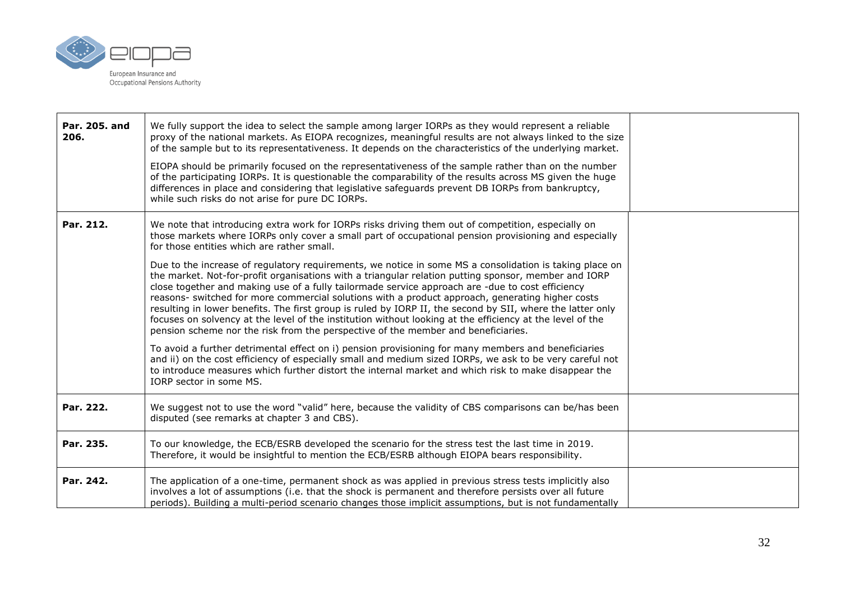

| Par. 205. and<br>206. | We fully support the idea to select the sample among larger IORPs as they would represent a reliable<br>proxy of the national markets. As EIOPA recognizes, meaningful results are not always linked to the size<br>of the sample but to its representativeness. It depends on the characteristics of the underlying market.<br>EIOPA should be primarily focused on the representativeness of the sample rather than on the number<br>of the participating IORPs. It is questionable the comparability of the results across MS given the huge<br>differences in place and considering that legislative safeguards prevent DB IORPs from bankruptcy,<br>while such risks do not arise for pure DC IORPs.                               |  |
|-----------------------|-----------------------------------------------------------------------------------------------------------------------------------------------------------------------------------------------------------------------------------------------------------------------------------------------------------------------------------------------------------------------------------------------------------------------------------------------------------------------------------------------------------------------------------------------------------------------------------------------------------------------------------------------------------------------------------------------------------------------------------------|--|
| Par. 212.             | We note that introducing extra work for IORPs risks driving them out of competition, especially on<br>those markets where IORPs only cover a small part of occupational pension provisioning and especially<br>for those entities which are rather small.                                                                                                                                                                                                                                                                                                                                                                                                                                                                               |  |
|                       | Due to the increase of regulatory requirements, we notice in some MS a consolidation is taking place on<br>the market. Not-for-profit organisations with a triangular relation putting sponsor, member and IORP<br>close together and making use of a fully tailormade service approach are -due to cost efficiency<br>reasons- switched for more commercial solutions with a product approach, generating higher costs<br>resulting in lower benefits. The first group is ruled by IORP II, the second by SII, where the latter only<br>focuses on solvency at the level of the institution without looking at the efficiency at the level of the<br>pension scheme nor the risk from the perspective of the member and beneficiaries. |  |
|                       | To avoid a further detrimental effect on i) pension provisioning for many members and beneficiaries<br>and ii) on the cost efficiency of especially small and medium sized IORPs, we ask to be very careful not<br>to introduce measures which further distort the internal market and which risk to make disappear the<br>IORP sector in some MS.                                                                                                                                                                                                                                                                                                                                                                                      |  |
| Par. 222.             | We suggest not to use the word "valid" here, because the validity of CBS comparisons can be/has been<br>disputed (see remarks at chapter 3 and CBS).                                                                                                                                                                                                                                                                                                                                                                                                                                                                                                                                                                                    |  |
| Par. 235.             | To our knowledge, the ECB/ESRB developed the scenario for the stress test the last time in 2019.<br>Therefore, it would be insightful to mention the ECB/ESRB although EIOPA bears responsibility.                                                                                                                                                                                                                                                                                                                                                                                                                                                                                                                                      |  |
| Par. 242.             | The application of a one-time, permanent shock as was applied in previous stress tests implicitly also<br>involves a lot of assumptions (i.e. that the shock is permanent and therefore persists over all future<br>periods). Building a multi-period scenario changes those implicit assumptions, but is not fundamentally                                                                                                                                                                                                                                                                                                                                                                                                             |  |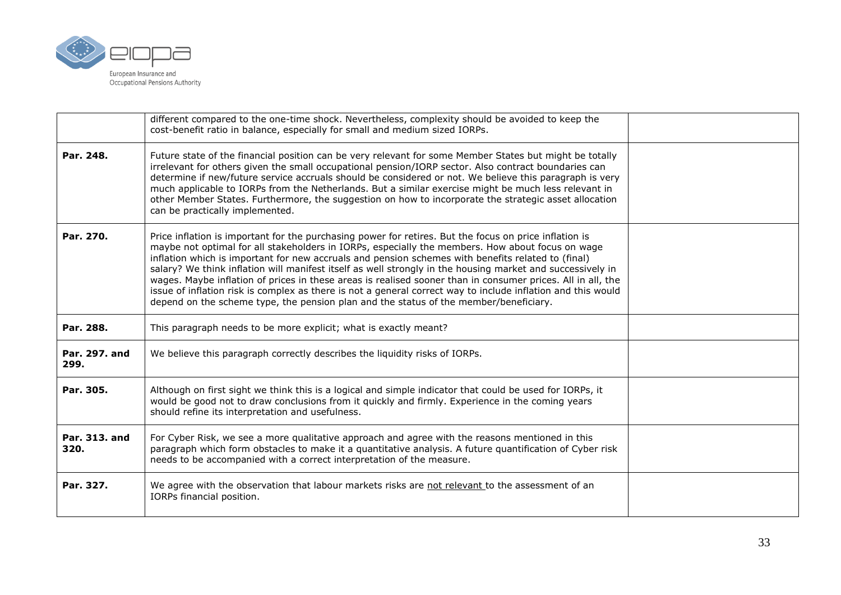

|                       | different compared to the one-time shock. Nevertheless, complexity should be avoided to keep the<br>cost-benefit ratio in balance, especially for small and medium sized IORPs.                                                                                                                                                                                                                                                                                                                                                                                                                                                                                                                                                                        |  |
|-----------------------|--------------------------------------------------------------------------------------------------------------------------------------------------------------------------------------------------------------------------------------------------------------------------------------------------------------------------------------------------------------------------------------------------------------------------------------------------------------------------------------------------------------------------------------------------------------------------------------------------------------------------------------------------------------------------------------------------------------------------------------------------------|--|
| Par. 248.             | Future state of the financial position can be very relevant for some Member States but might be totally<br>irrelevant for others given the small occupational pension/IORP sector. Also contract boundaries can<br>determine if new/future service accruals should be considered or not. We believe this paragraph is very<br>much applicable to IORPs from the Netherlands. But a similar exercise might be much less relevant in<br>other Member States. Furthermore, the suggestion on how to incorporate the strategic asset allocation<br>can be practically implemented.                                                                                                                                                                         |  |
| Par. 270.             | Price inflation is important for the purchasing power for retires. But the focus on price inflation is<br>maybe not optimal for all stakeholders in IORPs, especially the members. How about focus on wage<br>inflation which is important for new accruals and pension schemes with benefits related to (final)<br>salary? We think inflation will manifest itself as well strongly in the housing market and successively in<br>wages. Maybe inflation of prices in these areas is realised sooner than in consumer prices. All in all, the<br>issue of inflation risk is complex as there is not a general correct way to include inflation and this would<br>depend on the scheme type, the pension plan and the status of the member/beneficiary. |  |
| Par. 288.             | This paragraph needs to be more explicit; what is exactly meant?                                                                                                                                                                                                                                                                                                                                                                                                                                                                                                                                                                                                                                                                                       |  |
| Par. 297. and<br>299. | We believe this paragraph correctly describes the liquidity risks of IORPs.                                                                                                                                                                                                                                                                                                                                                                                                                                                                                                                                                                                                                                                                            |  |
| Par. 305.             | Although on first sight we think this is a logical and simple indicator that could be used for IORPs, it<br>would be good not to draw conclusions from it quickly and firmly. Experience in the coming years<br>should refine its interpretation and usefulness.                                                                                                                                                                                                                                                                                                                                                                                                                                                                                       |  |
| Par. 313. and<br>320. | For Cyber Risk, we see a more qualitative approach and agree with the reasons mentioned in this<br>paragraph which form obstacles to make it a quantitative analysis. A future quantification of Cyber risk<br>needs to be accompanied with a correct interpretation of the measure.                                                                                                                                                                                                                                                                                                                                                                                                                                                                   |  |
| Par. 327.             | We agree with the observation that labour markets risks are not relevant to the assessment of an<br>IORPs financial position.                                                                                                                                                                                                                                                                                                                                                                                                                                                                                                                                                                                                                          |  |